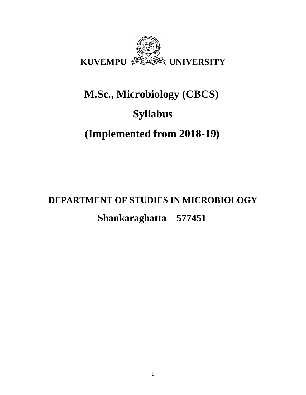

# **M.Sc., Microbiology (CBCS) Syllabus (Implemented from 2018-19)**

**DEPARTMENT OF STUDIES IN MICROBIOLOGY Shankaraghatta – 577451**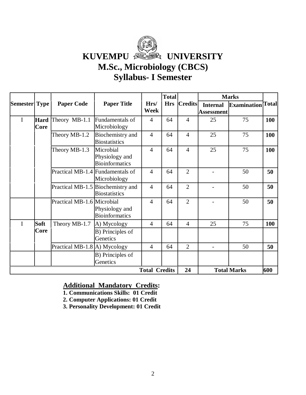

**KUVEMPU & UNIVERSITY** 

# **M.Sc., Microbiology (CBCS)**

# **Syllabus- I Semester**

|                       |                     |                                  |                                                           |                      | <b>Total</b> |                |                               | <b>Marks</b>             |     |
|-----------------------|---------------------|----------------------------------|-----------------------------------------------------------|----------------------|--------------|----------------|-------------------------------|--------------------------|-----|
| <b>Semester  Type</b> |                     | <b>Paper Code</b>                | <b>Paper Title</b>                                        | Hrs/<br>Week         | <b>Hrs</b>   | <b>Credits</b> | <b>Internal</b><br>Assessment | <b>Examination</b> Total |     |
| $\mathbf I$           | <b>Hard</b><br>Core | Theory MB-1.1                    | Fundamentals of<br>Microbiology                           | $\overline{4}$       | 64           | $\overline{4}$ | 25                            | 75                       | 100 |
|                       |                     | Theory MB-1.2                    | Biochemistry and<br><b>Biostatistics</b>                  | $\overline{4}$       | 64           | $\overline{4}$ | 25                            | 75                       | 100 |
|                       |                     | Theory MB-1.3                    | Microbial<br>Physiology and<br><b>Bioinformatics</b>      | $\overline{4}$       | 64           | $\overline{4}$ | 25                            | 75                       | 100 |
|                       |                     | Practical MB-1.4 Fundamentals of | Microbiology                                              | $\overline{4}$       | 64           | $\overline{2}$ |                               | 50                       | 50  |
|                       |                     |                                  | Practical MB-1.5 Biochemistry and<br><b>Biostatistics</b> | $\overline{4}$       | 64           | $\overline{2}$ |                               | 50                       | 50  |
|                       |                     | Practical MB-1.6 Microbial       | Physiology and<br><b>Bioinformatics</b>                   | $\overline{4}$       | 64           | $\overline{2}$ |                               | 50                       | 50  |
| I                     | Soft                | Theory MB-1.7                    | A) Mycology                                               | $\overline{4}$       | 64           | $\overline{4}$ | 25                            | 75                       | 100 |
|                       | Core                |                                  | B) Principles of<br>Genetics                              |                      |              |                |                               |                          |     |
|                       |                     | Practical MB-1.8 A) Mycology     |                                                           | $\overline{4}$       | 64           | $\overline{2}$ |                               | 50                       | 50  |
|                       |                     |                                  | B) Principles of<br>Genetics                              |                      |              |                |                               |                          |     |
|                       |                     |                                  |                                                           | <b>Total Credits</b> |              | 24             |                               | <b>Total Marks</b>       | 600 |

## **Additional Mandatory Credits:**

- **1. Communications Skills: 01 Credit**
- **2. Computer Applications: 01 Credit**
- **3. Personality Development: 01 Credit**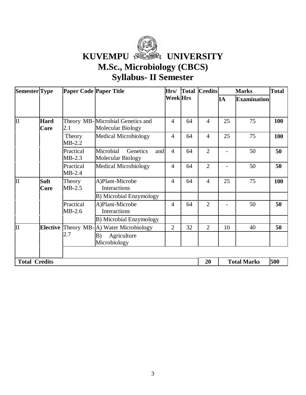

**KUVEMPU & UNIVERSITY** 

# **M.Sc., Microbiology (CBCS)**

# **Syllabus- II Semester**

| Semester Type        |                            | Paper Code Paper Title |                                                       | Hrs/            |    | <b>Total Credits</b> |    | <b>Marks</b>       | <b>Total</b> |
|----------------------|----------------------------|------------------------|-------------------------------------------------------|-----------------|----|----------------------|----|--------------------|--------------|
|                      |                            |                        |                                                       | <b>Week</b> Hrs |    |                      | IA | <b>Examination</b> |              |
|                      |                            |                        |                                                       |                 |    |                      |    |                    |              |
| II                   | <b>Hard</b><br><b>Core</b> | 2.1                    | Theory MB-Microbial Genetics and<br>Molecular Biology | $\overline{4}$  | 64 | 4                    | 25 | 75                 | 100          |
|                      |                            | Theory<br>$MB-2.2$     | <b>Medical Microbiology</b>                           | $\overline{4}$  | 64 | 4                    | 25 | 75                 | 100          |
|                      |                            | Practical<br>$MB-2.3$  | Microbial<br>Genetics<br>and<br>Molecular Biology     | $\overline{4}$  | 64 | $\overline{2}$       |    | 50                 | 50           |
|                      |                            | Practical<br>$MB-2.4$  | <b>Medical Microbiology</b>                           | $\overline{4}$  | 64 | $\overline{2}$       |    | 50                 | 50           |
| IІ                   | <b>Soft</b><br>Core        | Theory<br>$MB-2.5$     | A)Plant-Microbe<br>Interactions                       | $\overline{4}$  | 64 | $\overline{4}$       | 25 | 75                 | 100          |
|                      |                            |                        | <b>B</b> ) Microbial Enzymology                       |                 |    |                      |    |                    |              |
|                      |                            | Practical<br>$MB-2.6$  | A)Plant-Microbe<br>Interactions                       | $\overline{4}$  | 64 | $\overline{2}$       |    | 50                 | 50           |
|                      |                            |                        | B) Microbial Enzymology                               |                 |    |                      |    |                    |              |
| IІ                   | <b>Elective</b>            |                        | Theory MB-A) Water Microbiology                       | $\overline{2}$  | 32 | $\overline{2}$       | 10 | 40                 | 50           |
|                      |                            | 2.7                    | Agriculture<br>B)<br>Microbiology                     |                 |    |                      |    |                    |              |
|                      |                            |                        |                                                       |                 |    |                      |    |                    |              |
| <b>Total Credits</b> |                            |                        |                                                       |                 |    | 20                   |    | <b>Total Marks</b> | 500          |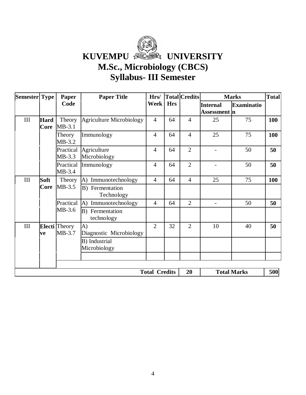

**KUVEMPU & ONIVERSITY** 

# **M.Sc., Microbiology (CBCS)**

# **Syllabus- III Semester**

| Semester Type |                     | Paper                          | <b>Paper Title</b>              | Hrs/                 |            | <b>Total Credits</b> |                                        | <b>Marks</b>       | <b>Total</b>                       |
|---------------|---------------------|--------------------------------|---------------------------------|----------------------|------------|----------------------|----------------------------------------|--------------------|------------------------------------|
|               |                     | Code                           |                                 | <b>Week</b>          | <b>Hrs</b> |                      | <b>Internal</b><br><b>Assessment</b> n | <b>Examinatio</b>  |                                    |
| $\rm III$     | <b>Hard</b><br>Core | Theory<br>$MB-3.1$             | <b>Agriculture Microbiology</b> | $\overline{4}$       | 64         | $\overline{4}$       | 25                                     | 75                 | 100                                |
|               |                     | Theory<br>$MB-3.2$             | Immunology                      | $\overline{4}$       | 64         | $\overline{4}$       | 25                                     | 75                 | 100                                |
|               |                     | Practical<br>$MB-3.3$          | Agriculture<br>Microbiology     | $\overline{4}$       | 64         | $\overline{2}$       | $\overline{\phantom{a}}$               | 50                 | 50                                 |
|               |                     | Practical<br>$MB-3.4$          | Immunology                      | $\overline{4}$       | 64         | $\overline{2}$       |                                        | 50                 | 50                                 |
| III           | Soft                | Theory                         | A) Immunotechnology             | $\overline{4}$       | 64         | $\overline{4}$       | 25                                     | 75                 | <b>100</b><br>50<br>50<br>40<br>50 |
|               | Core                | $MB-3.5$                       | B) Fermentation<br>Technology   |                      |            |                      |                                        |                    |                                    |
|               |                     | Practical                      | A) Immunotechnology             | $\overline{4}$       | 64         | $\overline{2}$       | $\overline{\phantom{a}}$               |                    |                                    |
|               |                     | $MB-3.6$                       | B) Fermentation<br>technology   |                      |            |                      |                                        |                    |                                    |
| III           | ve                  | <b>Electi</b> Theory<br>MB-3.7 | A)<br>Diagnostic Microbiology   | $\overline{2}$       | 32         | $\overline{2}$       | 10                                     |                    |                                    |
|               |                     |                                | B) Industrial<br>Microbiology   |                      |            |                      |                                        |                    |                                    |
|               |                     |                                |                                 |                      |            |                      |                                        |                    |                                    |
|               |                     |                                |                                 | <b>Total Credits</b> |            | 20                   |                                        | <b>Total Marks</b> | 500                                |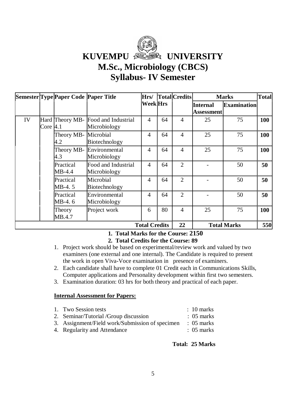# KUVEMPU **ASSES** UNIVERSITY **M.Sc., Microbiology (CBCS) Syllabus- IV Semester**

|    |             | Semester Type Paper Code Paper Title |                                     | Hrs/                          |    | <b>Total</b> Credits |                                      | <b>Marks</b>       | <b>Total</b> |
|----|-------------|--------------------------------------|-------------------------------------|-------------------------------|----|----------------------|--------------------------------------|--------------------|--------------|
|    |             |                                      |                                     | <b>Week</b> Hrs               |    |                      | <b>Internal</b><br><b>Assessment</b> | <b>Examination</b> |              |
| IV | Core $ 4.1$ | Hard Theory MB-                      | Food and Industrial<br>Microbiology | $\overline{4}$                | 64 | $\overline{4}$       | 25                                   | 75                 | 100          |
|    |             | Theory MB-<br>4.2                    | Microbial<br>Biotechnology          | 4                             | 64 | $\overline{4}$       | 25                                   | 75                 | 100          |
|    |             | Theory MB-<br>4.3                    | Environmental<br>Microbiology       | 4                             | 64 | $\overline{4}$       | 25                                   | 75                 | 100          |
|    |             | Practical<br>$MB-4.4$                | Food and Industrial<br>Microbiology | 4                             | 64 | $\overline{2}$       |                                      | 50                 | 50           |
|    |             | Practical<br>MB-4.5                  | Microbial<br>Biotechnology          | 4                             | 64 | $\overline{2}$       |                                      | 50                 | 50           |
|    |             |                                      | Practical<br>MB-4.6                 | Environmental<br>Microbiology | 4  | 64                   | $\overline{2}$                       |                    | 50           |
|    |             | Theory<br>MB.4.7                     | Project work                        | 6                             | 80 | $\overline{4}$       | 25                                   | 75                 | 100          |
|    |             |                                      |                                     | <b>Total Credits</b>          |    | 22                   |                                      | <b>Total Marks</b> | 550          |

### **1. Total Marks for the Course: 2150**

### **2. Total Credits for the Course: 89**

- 1. Project work should be based on experimental/review work and valued by two examiners (one external and one internal). The Candidate is required to present the work in open Viva-Voce examination in presence of examiners.
- 2. Each candidate shall have to complete 01 Credit each in Communications Skills, Computer applications and Personality development within first two semesters.
- 3. Examination duration: 03 hrs for both theory and practical of each paper.

### **Internal Assessment for Papers:**

| 1. Two Session tests                            | $\therefore$ 10 marks |
|-------------------------------------------------|-----------------------|
| 2. Seminar/Tutorial /Group discussion           | $\therefore$ 05 marks |
| 3. Assignment/Field work/Submission of specimen | $\therefore$ 05 marks |
| 4. Regularity and Attendance                    | $\therefore$ 05 marks |
|                                                 |                       |

### **Total: 25 Marks**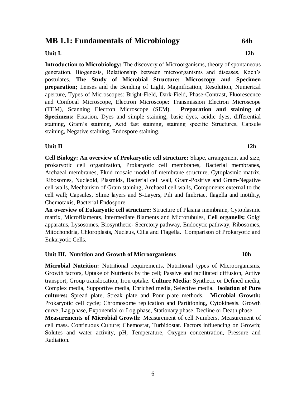# **MB 1.1: Fundamentals of Microbiology 64h**

### **Unit I. 12h**

**Introduction to Microbiology:** The discovery of Microorganisms, theory of spontaneous generation, Biogenesis, Relationship between microorganisms and diseases, Koch's postulates. **The Study of Microbial Structure: Microscopy and Specimen preparation;** Lenses and the Bending of Light, Magnification, Resolution, Numerical aperture, Types of Microscopes: Bright-Field, Dark-Field, Phase-Contrast, Fluorescence and Confocal Microscope, Electron Microscope: Transmission Electron Microscope (TEM), Scanning Electron Microscope (SEM). **Preparation and staining of Specimens:** Fixation, Dyes and simple staining, basic dyes, acidic dyes, differential staining, Gram's staining, Acid fast staining, staining specific Structures, Capsule staining, Negative staining, Endospore staining.

### **Unit II** 12h

**Cell Biology: An overview of Prokaryotic cell structure;** Shape, arrangement and size, prokaryotic cell organization, Prokaryotic cell membranes, Bacterial membranes, Archaeal membranes, Fluid mosaic model of membrane structure, Cytoplasmic matrix, Ribosomes, Nucleoid, Plasmids, Bacterial cell wall, Gram-Positive and Gram-Negative cell walls, Mechanism of Gram staining, Archaeal cell walls, Components external to the cell wall; Capsules, Slime layers and S-Layers, Pili and fimbriae, flagella and motility, Chemotaxis, Bacterial Endospore.

**An overview of Eukaryotic cell structure:** Structure of Plasma membrane, Cytoplasmic matrix, Microfilaments, intermediate filaments and Microtubules, **Cell organells;** Golgi apparatus, Lysosomes, Biosynthetic- Secretory pathway, Endocytic pathway, Ribosomes, Mitochondria, Chloroplasts, Nucleus, Cilia and Flagella. Comparison of Prokaryotic and Eukaryotic Cells.

### **Unit III. Nutrition and Growth of Microorganisms 10h**

**Microbial Nutrition:** Nutritional requirements, Nutritional types of Microorganisms, Growth factors, Uptake of Nutrients by the cell; Passive and facilitated diffusion, Active transport, Group translocation, Iron uptake. **Culture Media:** Synthetic or Defined media, Complex media, Supportive media, Enriched media, Selective media. **Isolation of Pure cultures:** Spread plate, Streak plate and Pour plate methods. **Microbial Growth:** Prokaryotic cell cycle; Chromosome replication and Partitioning, Cytokinesis. Growth curve; Lag phase, Exponential or Log phase, Stationary phase, Decline or Death phase.

**Measurements of Microbial Growth:** Measurement of cell Numbers, Measurement of cell mass. Continuous Culture; Chemostat, Turbidostat. Factors influencing on Growth; Solutes and water activity, pH, Temperature, Oxygen concentration, Pressure and Radiation.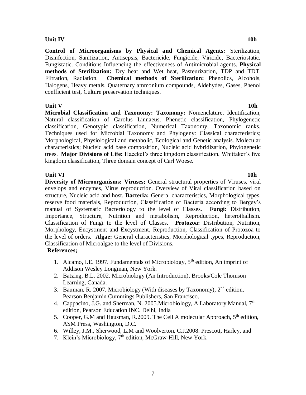### **Unit IV** 10h

**Control of Microorganisms by Physical and Chemical Agents:** Sterilization, Disinfection, Sanitization, Antisepsis, Bactericide, Fungicide, Viricide, Bacteriostatic, Fungistatic. Conditions Influencing the effectiveness of Antimicrobial agents. **Physical methods of Sterilization:** Dry heat and Wet heat, Pasteurization, TDP and TDT, Filtration, Radiation. **Chemical methods of Sterilization:** Phenolics, Alcohols, Halogens, Heavy metals, Quaternary ammonium compounds, Aldehydes, Gases, Phenol coefficient test, Culture preservation techniques.

**Unit V** 10h **Microbial Classification and Taxonomy: Taxonomy:** Nomenclature, Identification, Natural classification of Carolus Linnaeus, Phenetic classification, Phylogenetic classification, Genotypic classification, Numerical Taxonomy, Taxonomic ranks. Techniques used for Microbial Taxonomy and Phylogeny: Classical characteristics; Morphological, Physiological and metabolic, Ecological and Genetic analysis. Molecular characteristics; Nucleic acid base composition, Nucleic acid hybridization, Phylogenetic trees. **Major Divisions of Life:** Haeckel's three kingdom classification, Whittaker's five kingdom classification, Three domain concept of Carl Woese.

### **Unit VI** 10h

**Diversity of Microorganisms: Viruses;** General structural properties of Viruses, viral envelops and enzymes, Virus reproduction. Overview of Viral classification based on structure, Nucleic acid and host. **Bacteria:** General characteristics, Morphological types, reserve food materials, Reproduction, Classification of Bacteria according to Bergey's manual of Systematic Bacteriology to the level of Classes. **Fungi:** Distribution, Importance, Structure, Nutrition and metabolism, Reproduction, heterothallism. Classification of Fungi to the level of Classes. **Protozoa:** Distribution, Nutrition, Morphology, Encystment and Excystment, Reproduction, Classification of Protozoa to the level of orders. **Algae:** General characteristics, Morphological types, Reproduction, Classification of Microalgae to the level of Divisions.

### **References;**

- 1. Alcamo, I.E. 1997. Fundamentals of Microbiology,  $5<sup>th</sup>$  edition, An imprint of Addison Wesley Longman, New York.
- 2. Batzing, B.L. 2002. Microbiology (An Introduction), Brooks/Cole Thomson Learning, Canada.
- 3. Bauman, R. 2007. Microbiology (With diseases by Taxonomy),  $2<sup>nd</sup>$  edition. Pearson Benjamin Cummings Publishers, San Francisco.
- 4. Cappacino, J.G. and Sherman, N. 2005. Microbiology, A Laboratory Manual,  $7<sup>th</sup>$ edition, Pearson Education INC. Delhi, India
- 5. Cooper, G.M and Hausman, R.2009. The Cell A molecular Approach, 5<sup>th</sup> edition, ASM Press, Washington, D.C.
- 6. Willey, J.M., Sherwood, L.M and Woolverton, C.J.2008. Prescott, Harley, and
- 7. Klein's Microbiology, 7th edition, McGraw-Hill, New York.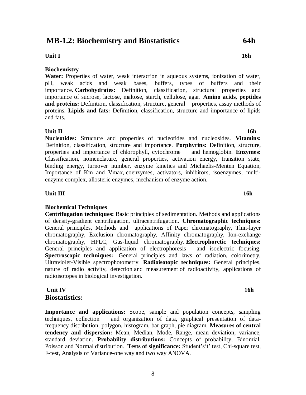### 8

# **MB-1.2: Biochemistry and Biostatistics 64h**

### **Unit I** 16h

### **Biochemistry**

**Water:** Properties of water, weak interaction in aqueous systems, ionization of water, pH, weak acids and weak bases, buffers, types of buffers and their importance. **Carbohydrates:** Definition, classification, structural properties and importance of sucrose, lactose, maltose, starch, cellulose, agar. **Amino acids, peptides and proteins:** Definition, classification, structure, general properties, assay methods of proteins. **Lipids and fats:** Definition, classification, structure and importance of lipids and fats.

### **Unit II** 16h

**Nucleotides:** Structure and properties of nucleotides and nucleosides. **Vitamins:** Definition, classification, structure and importance. **Porphyrins:** Definition, structure, properties and importance of chlorophyll, cytochrome and hemoglobin. **Enzymes:** Classification, nomenclature, general properties, activation energy, transition state, binding energy, turnover number, enzyme kinetics and Michaelis-Menten Equation, Importance of Km and Vmax, coenzymes, activators, inhibitors, isoenzymes, multienzyme complex, allosteric enzymes, mechanism of enzyme action.

### **Unit III** 16h

### **Biochemical Techniques**

**Centrifugation techniques:** Basic principles of sedimentation. Methods and applications of density-gradient centrifugation, ultracentrifugation. **Chromatographic techniques:** General principles, Methods and applications of Paper chromatography, Thin-layer chromatography, Exclusion chromatography, Affinity chromatography, Ion-exchange chromatography, HPLC, Gas-liquid chromatography. **Electrophoretic techniques:** General principles and application of electrophoresis and isoelectric focusing. **Spectroscopic techniques:** General principles and laws of radiation, colorimetry, Ultraviolet-Visible spectrophotometry. **Radioisotopic techniques:** General principles, nature of radio activity, detection and measurement of radioactivity, applications of radioisotopes in biological investigation.

### **Unit IV** 16h **Biostatistics:**

**Importance and applications:** Scope, sample and population concepts, sampling techniques, collection and organization of data, graphical presentation of datafrequency distribution, polygon, histogram, bar graph, pie diagram. **Measures of central tendency and dispersion:** Mean, Median, Mode, Range, mean deviation, variance, standard deviation. **Probability distributions:** Concepts of probability, Binomial, Poisson and Normal distribution. **Tests of significance:** Student's't' test, Chi-square test, F-test, Analysis of Variance-one way and two way ANOVA.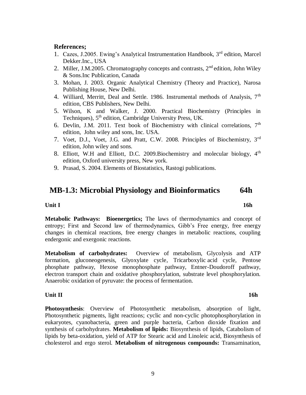# **References;**

- 1. Cazes, J.2005. Ewing's Analytical Instrumentation Handbook, 3rd edition, Marcel Dekker.Inc., USA
- 2. Miller, J.M.2005. Chromatography concepts and contrasts,  $2<sup>nd</sup>$  edition, John Wiley & Sons.Inc Publication, Canada
- 3. Mohan, J. 2003. Organic Analytical Chemistry (Theory and Practice), Narosa Publishing House, New Delhi.
- 4. Williard, Merritt, Deal and Settle. 1986. Instrumental methods of Analysis, 7<sup>th</sup> edition, CBS Publishers, New Delhi.
- 5. Wilson, K and Walker, J. 2000. Practical Biochemistry (Principles in Techniques),  $5<sup>th</sup>$  edition, Cambridge University Press, UK.
- 6. Devlin, J.M. 2011. Text book of Biochemistry with clinical correlations,  $7<sup>th</sup>$ edition, John wiley and sons, Inc. USA.
- 7. Voet, D.J., Voet, J.G. and Pratt, C.W. 2008. Principles of Biochemistry, 3rd edition, John wiley and sons.
- 8. Elliott, W.H and Elliott, D.C. 2009. Biochemistry and molecular biology, 4<sup>th</sup> edition, Oxford university press, New york.
- 9. Prasad, S. 2004. Elements of Biostatistics, Rastogi publications.

# **MB-1.3: Microbial Physiology and Bioinformatics 64h**

### **Unit I** 16h

**Metabolic Pathways: Bioenergetics;** The laws of thermodynamics and concept of entropy; First and Second law of thermodynamics, Gibb's Free energy, free energy changes in chemical reactions, free energy changes in metabolic reactions, coupling endergonic and exergonic reactions.

**Metabolism of carbohydrates:** Overview of metabolism, Glycolysis and ATP formation, gluconeogenesis, Glyoxylate cycle, Tricarboxylic acid cycle, Pentose phosphate pathway, Hexose monophosphate pathway, Entner-Doudoroff pathway, electron transport chain and oxidative phosphorylation, substrate level phosphorylation. Anaerobic oxidation of pyruvate: the process of fermentation.

### **Unit II** 16h

**Photosynthesis**: Overview of Photosynthetic metabolism, absorption of light, Photosynthetic pigments, light reactions; cyclic and non-cyclic photophosphorylation in eukaryotes, cyanobacteria, green and purple bacteria, Carbon dioxide fixation and synthesis of carbohydrates. **Metabolism of lipids:** Biosynthesis of lipids, Catabolism of lipids by beta-oxidation, yield of ATP for Stearic acid and Linoleic acid, Biosynthesis of cholesterol and ergo sterol. **Metabolism of nitrogenous compounds:** Transamination,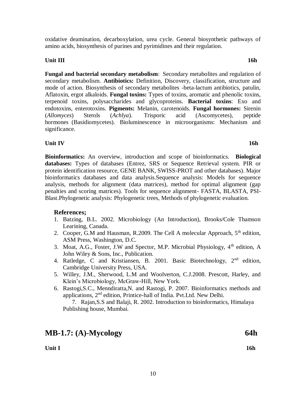**Unit I** 16h

oxidative deamination, decarboxylation, urea cycle. General biosynthetic pathways of amino acids, biosynthesis of purines and pyrimidines and their regulation.

**Unit III** 16h

**Fungal and bacterial secondary metabolism**: Secondary metabolites and regulation of secondary metabolism. **Antibiotics:** Definition, Discovery, classification, structure and mode of action. Biosynthesis of secondary metabolites -beta-lactum antibiotics, patulin, Aflatoxin, ergot alkaloids. **Fungal toxins:** Types of toxins, aromatic and phenolic toxins, terpenoid toxins, polysaccharides and glycoproteins. **Bacterial toxins**: Exo and endotoxins, enterotoxins. **Pigments:** Melanin, carotenoids. **Fungal hormones:** Sirenin (*Allomyces*) Sterols (*Achlya*). Trisporic acid (Ascomycetes), peptide hormones (Basidiomycetes). Bioluminescence in microorganisms: Mechanism and significance.

### **Unit IV** 16h

**Bioinformatics:** An overview, introduction and scope of bioinformatics. **Biological databases:** Types of databases (Entrez, SRS or Sequence Retrieval system. PIR or protein identification resource, GENE BANK, SWISS-PROT and other databases). Major bioinformatics databases and data analysis.Sequence analysis: Models for sequence analysis, methods for alignment (data matrices), method for optimal alignment (gap penalties and scoring matrices). Tools for sequence alignment- FASTA, BLASTA, PSI-Blast.Phylogenetic analysis: Phylogenetic trees, Methods of phylogenetic evaluation.

### **References;**

- 1. Batzing, B.L. 2002. Microbiology (An Introduction), Brooks/Cole Thamson Learining, Canada.
- 2. Cooper, G.M and Hausman, R.2009. The Cell A molecular Approach,  $5<sup>th</sup>$  edition, ASM Press, Washington, D.C.
- 3. Moat, A.G., Foster, J.W and Spector, M.P. Microbial Physiology, 4<sup>th</sup> edition, A John Wiley & Sons, Inc., Publication.
- 4. Ratledge, C and Kristiansen, B. 2001. Basic Biotechnology, 2nd edition, Cambridge University Press, USA.
- 5. Willey, J.M., Sherwood, L.M and Woolverton, C.J.2008. Prescott, Harley, and Klein's Microbiology, McGraw-Hill, New York.
- 6. Rastogi,S.C., Menndiratta,N. and Rastogi, P. 2007. Bioinformatics methods and applications, 2nd edition, Printice-hall of India. Pvt.Ltd. New Delhi.

7. Rajan,S.S and Balaji, R. 2002. Introduction to bioinformatics, Himalaya Publishing house, Mumbai.

**MB-1.7: (A)-Mycology 64h**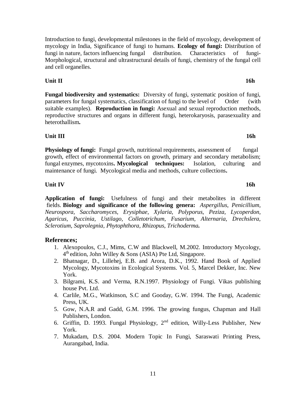11

Introduction to fungi, developmental milestones in the field of mycology, development of mycology in India, Significance of fungi to humans. **Ecology of fungi:** Distribution of fungi in nature, factors influencing fungal distribution. Characteristics of fungi-Morphological, structural and ultrastructural details of fungi, chemistry of the fungal cell and cell organelles.

**Unit II** 16h

**Fungal biodiversity and systematics:** Diversity of fungi, systematic position of fungi, parameters for fungal systematics, classification of fungi to the level of Order (with suitable examples). **Reproduction in fungi:** Asexual and sexual reproduction methods, reproductive structures and organs in different fungi, heterokaryosis, parasexuality and heterothallism**.** 

**Unit III** 16h

**Physiology of fungi:** Fungal growth, nutritional requirements, assessment of fungal growth, effect of environmental factors on growth, primary and secondary metabolism; fungal enzymes, mycotoxins**. Mycological techniques:** Isolation, culturing and maintenance of fungi. Mycological media and methods, culture collections**.** 

**Unit IV** 16h

**Application of fungi:** Usefulness of fungi and their metabolites in different fields. **Biology and significance of the following genera:** *Aspergillus, Penicillium, Neurospora, Saccharomyces, Erysiphae, Xylaria, Polyporus, Peziza, Lycoperdon, Agaricus, Puccinia, Ustilago, Colletotrichum, Fusarium, Alternaria, Drechslera, Sclerotium, Saprolegnia, Phytophthora, Rhizopus, Trichoderma.* 

## **References;**

- 1. Alexopoulos, C.J., Mims, C.W and Blackwell, M.2002. Introductory Mycology, 4<sup>th</sup> edition, John Willey & Sons (ASIA) Pte Ltd, Singapore.
- 2. Bhatnagar, D., Lillehej, E.B. and Arora, D.K., 1992. Hand Book of Applied Mycology, Mycotoxins in Ecological Systems. Vol. 5, Marcel Dekker, Inc. New York.
- 3. Bilgrami, K.S. and Verma, R.N.1997. Physiology of Fungi. Vikas publishing house Pvt. Ltd.
- 4. Carlile, M.G., Watkinson, S.C and Gooday, G.W. 1994. The Fungi, Academic Press, UK.
- 5. Gow, N.A.R and Gadd, G.M. 1996. The growing fungus, Chapman and Hall Publishers, London.
- 6. Griffin, D. 1993. Fungal Physiology,  $2<sup>nd</sup>$  edition, Willy-Less Publisher, New York.
- 7. Mukadam, D.S. 2004. Modern Topic In Fungi, Saraswati Printing Press, Aurangabad, India.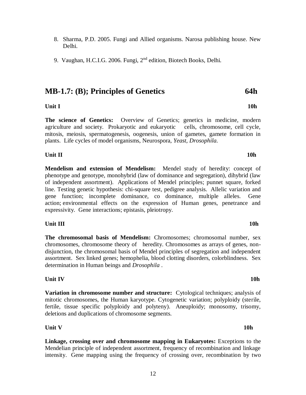- 8. Sharma, P.D. 2005. Fungi and Allied organisms. Narosa publishing house. New Delhi.
- 9. Vaughan, H.C.I.G. 2006. Fungi, 2nd edition, Biotech Books, Delhi.

# **MB-1.7: (B); Principles of Genetics 64h**

### **Unit I** 10h

**The science of Genetics:** Overview of Genetics; genetics in medicine, modern agriculture and society. Prokaryotic and eukaryotic cells, chromosome, cell cycle, mitosis, meiosis, spermatogenesis, oogenesis, union of gametes, gamete formation in plants. Life cycles of model organisms, Neurospora*, Yeast, Drosophila.*

### **Unit II** 10h

**Mendelism and extension of Mendelism:** Mendel study of heredity: concept of phenotype and genotype, monohybrid (law of dominance and segregation), dihybrid (law of independent assortment). Applications of Mendel principles; punnet square, forked line. Testing genetic hypothesis: chi-square test, pedigree analysis. Allelic variation and gene function; incomplete dominance, co dominance, multiple alleles. Gene action; environmental effects on the expression of Human genes, penetrance and expressivity. Gene interactions; epistasis, pleiotropy.

### **Unit III** 10h

**The chromosomal basis of Mendelism:** Chromosomes; chromosomal number, sex chromosomes, chromosome theory of heredity. Chromosomes as arrays of genes, nondisjunction, the chromosomal basis of Mendel principles of segregation and independent assortment. Sex linked genes; hemophelia, blood clotting disorders, colorblindness. Sex determination in Human beings and *Drosophila* .

### **Unit IV** 10h

### **Variation in chromosome number and structure:** Cytological techniques; analysis of mitotic chromosomes, the Human karyotype. Cytogenetic variation; polyploidy (sterile, fertile, tissue specific polyploidy and polyteny). Aneuploidy; monosomy, trisomy, deletions and duplications of chromosome segments.

### **Unit V 10h**

**Linkage, crossing over and chromosome mapping in Eukaryotes:** Exceptions to the Mendelian principle of independent assortment, frequency of recombination and linkage intensity. Gene mapping using the frequency of crossing over, recombination by two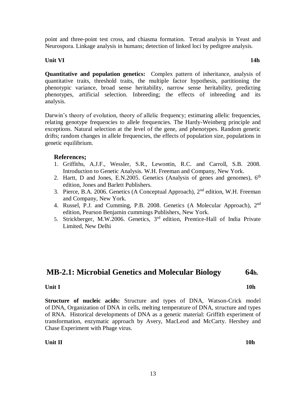13

### **Unit II** 10h

**Structure of nucleic acids:** Structure and types of DNA, Watson-Crick model of DNA, Organization of DNA in cells, melting temperature of DNA, structure and types of RNA. Historical developments of DNA as a genetic material: Griffith experiment of transformation, enzymatic approach by Avery, MacLeod and McCarty. Hershey and Chase Experiment with Phage virus.

**MB-2.1: Microbial Genetics and Molecular Biology 64h.**

**Unit I** 10h

genetic equilibrium.

**References;**

# 1. Griffiths, A.J.F., Wessler, S.R., Lewontin, R.C. and Carroll, S.B. 2008.

- Introduction to Genetic Analysis. W.H. Freeman and Company, New York.
- 2. Hartt, D and Jones, E.N.2005. Genetics (Analysis of genes and genomes),  $6<sup>th</sup>$ edition, Jones and Barlett Publishers.
- 3. Pierce, B.A. 2006. Genetics (A Conceptual Approach), 2nd edition, W.H. Freeman and Company, New York.
- 4. Russel, P.J. and Cumming, P.B. 2008. Genetics (A Molecular Approach), 2nd edition, Pearson Benjamin cummings Publishers, New York.
- 5. Strickberger, M.W.2006. Genetics, 3rd edition, Prentice-Hall of India Private Limited, New Delhi

**Quantitative and population genetics:** Complex pattern of inheritance, analysis of quantitative traits, threshold traits, the multiple factor hypothesis, partitioning the phenotypic variance, broad sense heritability, narrow sense heritability, predicting phenotypes, artificial selection. Inbreeding; the effects of inbreeding and its analysis.

Darwin's theory of evolution, theory of allelic frequency; estimating allelic frequencies, relating genotype frequencies to allele frequencies. The Hardy-Weinberg principle and exceptions. Natural selection at the level of the gene, and phenotypes. Random genetic drifts; random changes in allele frequencies, the effects of population size, populations in

Neurospora. Linkage analysis in humans; detection of linked loci by pedigree analysis.

**Unit VI 14h**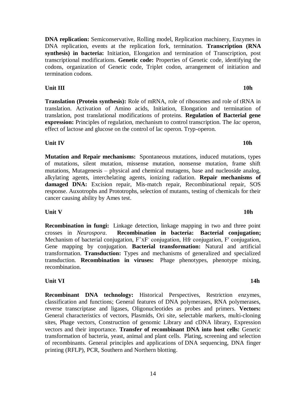**DNA replication:** Semiconservative, Rolling model, Replication machinery, Enzymes in DNA replication, events at the replication fork, termination. **Transcription (RNA synthesis) in bacteria:** Initiation, Elongation and termination of Transcription, post transcriptional modifications. **Genetic code:** Properties of Genetic code, identifying the codons, organization of Genetic code, Triplet codon, arrangement of initiation and termination codons.

**Unit III** 10h

**Translation (Protein synthesis):** Role of mRNA, role of ribosomes and role of tRNA in translation. Activation of Amino acids, Initiation, Elongation and termination of translation, post translational modifications of proteins. **Regulation of Bacterial gene expression:** Principles of regulation, mechanism to control transcription. The *lac* operon, effect of lactose and glucose on the control of lac operon. Tryp-operon.

**Unit IV 10h**

**Mutation and Repair mechanisms:** Spontaneous mutations, induced mutations, types of mutations, silent mutation, missense mutation, nonsense mutation, frame shift mutations, Mutagenesis – physical and chemical mutagens, base and nucleoside analog, alkylating agents, interchelating agents, ionizing radiation. **Repair mechanisms of damaged DNA:** Excision repair, Mis-match repair, Recombinational repair, SOS response. Auxotrophs and Prototrophs, selection of mutants, testing of chemicals for their cancer causing ability by Ames test.

**Unit V** 10h

**Recombination in fungi:** Linkage detection, linkage mapping in two and three point crosses in *Neurospora*. **Recombination in bacteria: Bacterial conjugation;** Mechanism of bacterial conjugation,  $F^+xF^-$  conjugation, Hfr conjugation,  $F'$  conjugation, Gene mapping by conjugation. **Bacterial transformation:** Natural and artificial transformation. **Transduction:** Types and mechanisms of generalized and specialized transduction. **Recombination in viruses:** Phage phenotypes, phenotype mixing, recombination.

**Unit VI 14h**

**Recombinant DNA technology:** Historical Perspectives, Restriction enzymes, classification and functions; General features of DNA polymerases, RNA polymerases, reverse transcriptase and ligases, Oligonucleotides as probes and primers. **Vectors:** General characteristics of vectors, Plasmids, Ori site, selectable markers, multi-cloning sites, Phage vectors, Construction of genomic Library and cDNA library, Expression vectors and their importance. **Transfer of recombinant DNA into host cells:** Genetic transformation of bacteria, yeast, animal and plant cells. Plating, screening and selection of recombinants. General principles and applications of DNA sequencing, DNA finger printing (RFLP), PCR, Southern and Northern blotting.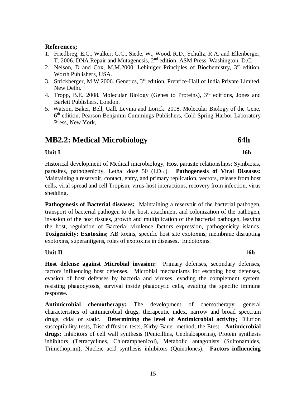### **References;**

- 1. Friedbreg, E.C., Walker, G.C., Siede, W., Wood, R.D., Schultz, R.A. and Ellenberger, T. 2006. DNA Repair and Mutagenesis, 2nd edition, ASM Press, Washington, D.C.
- 2. Nelson, D and Cox, M.M.2000. Lehiniger Principles of Biochemistry, 3rd edition, Worth Publishers, USA.
- 3. Strickberger, M.W.2006. Genetics, 3rd edition, Prentice-Hall of India Private Limited, New Delhi.
- 4. Tropp, B.E. 2008. Molecular Biology (Genes to Proteins),  $3<sup>rd</sup>$  editions, Jones and Barlett Publishers, London.
- 5. Watson, Baker, Bell, Gall, Levina and Lorick. 2008. Molecular Biology of the Gene, 6<sup>th</sup> edition, Pearson Benjamin Cummings Publishers, Cold Spring Harbor Laboratory Press, New York,

# **MB2.2: Medical Microbiology 64h**

### **Unit I** 16h

Historical development of Medical microbiology, Host parasite relationships; Symbiosis, parasites, pathogenicity, Lethal dose 50 (LD<sub>50</sub>). **Pathogenesis of Viral Diseases:** Maintaining a reservoir, contact, entry, and primary replication, vectors, release from host cells, viral spread and cell Tropism, virus-host interactions, recovery from infection, virus shedding.

**Pathogenesis of Bacterial diseases:** Maintaining a reservoir of the bacterial pathogen, transport of bacterial pathogen to the host, attachment and colonization of the pathogen, invasion of the host tissues, growth and multiplication of the bacterial pathogen, leaving the host, regulation of Bacterial virulence factors expression, pathogenicity islands. **Toxigenicity: Exotoxins;** AB toxins, specific host site exotoxins, membrane disrupting exotoxins, superantigens, roles of exotoxins in diseases**.** Endotoxins.

### **Unit II** 16h

**Host defense against Microbial invasion:** Primary defenses, secondary defenses, factors influencing host defenses. Microbial mechanisms for escaping host defenses, evasion of host defenses by bacteria and viruses, evading the complement system, resisting phagocytosis, survival inside phagocytic cells, evading the specific immune response.

**Antimicrobial chemotherapy:** The development of chemotherapy, general characteristics of antimicrobial drugs, therapeutic index, narrow and broad spectrum drugs, cidal or static. **Determining the level of Antimicrobial activity;** Dilution susceptibility tests, Disc diffusion tests, Kirby-Bauer method, the Etest. **Antimicrobial drugs:** Inhibitors of cell wall synthesis (Penicillins, Cephalosporins), Protein synthesis inhibitors (Tetracyclines, Chloramphenicol), Metabolic antagonists (Sulfonamides, Trimethoprim), Nucleic acid synthesis inhibitors (Quinolones). **Factors influencing**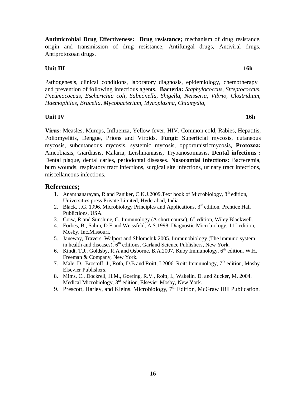16

**Antimicrobial Drug Effectiveness: Drug resistance;** mechanism of drug resistance, origin and transmission of drug resistance, Antifungal drugs, Antiviral drugs, Antiprotozoan drugs.

### **Unit III** 16h

Pathogenesis, clinical conditions, laboratory diagnosis, epidemiology, chemotherapy and prevention of following infectious agents. **Bacteria:** *Staphylococcus, Streptococcus, Pneumococcus, Escherichia coli, Salmonella, Shigella, Neisseria, Vibrio, Clostridium, Haemophilus, Brucella, Mycobacterium, Mycoplasma, Chlamydia,* 

### **Unit IV** 16h

**Virus:** Measles, Mumps, Influenza, Yellow fever, HIV, Common cold, Rabies, Hepatitis, Poliomyelitis, Dengue, Prions and Viroids. **Fungi:** Superficial mycosis, cutaneous mycosis, subcutaneous mycosis, systemic mycosis, opportunisticmycosis, **Protozoa:**  Ameobiasis, Giardiasis, Malaria, Leishmaniasis, Trypanosomiasis**. Dental infections :** Dental plaque, dental caries, periodontal diseases. **Nosocomial infections:** Bacteremia, burn wounds, respiratory tract infections, surgical site infections, urinary tract infections, miscellaneous infections.

### **References;**

- 1. Ananthanarayan, R and Paniker, C.K.J.2009.Text book of Microbiology, 8<sup>th</sup> edition, Universities press Private Limited, Hyderabad, India
- 2. Black, J.G. 1996. Microbiology Principles and Applications, 3<sup>rd</sup> edition, Prentice Hall Publictions, USA.
- 3. Coiw, R and Sunshine, G. Immunology (A short course),  $6<sup>th</sup>$  edition, Wiley Blackwell.
- 4. Forbes, B., Sahm, D.F and Weissfeld, A.S.1998. Diagnostic Microbiology,  $11<sup>th</sup>$  edition, Mosby, Inc.Missouri.
- 5. Janeway, Travers, Walport and Shlomchik.2005. Immunobiology (The immuno system in health and diseases),  $6<sup>th</sup>$  editions, Garland Science Publishers, New York.
- 6. Kindt, T.J., Goldsby, R.A and Osborne, B.A.2007. Kuby Immunology,  $6<sup>th</sup>$  edition, W.H. Freeman & Company, New York.
- 7. Male, D., Brostoff, J., Roth, D.B and Roitt, I.2006. Roitt Immunology, 7<sup>th</sup> edition, Mosby Elsevier Publishers.
- 8. Mims, C., Dockrell, H.M., Goering, R.V., Roitt, I., Wakelin, D. and Zucker, M. 2004. Medical Microbiology, 3rd edition, Elsevier Mosby, New York.
- 9. Prescott, Harley, and Kleins. Microbiology, 7<sup>th</sup> Edition, McGraw Hill Publication.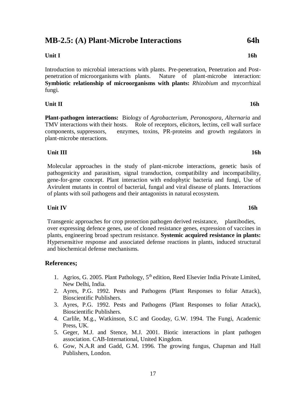# **MB-2.5: (A) Plant-Microbe Interactions 64h**

## **Unit I 16h**

Introduction to microbial interactions with plants. Pre-penetration, Penetration and Postpenetration of microorganisms with plants. Nature of plant-microbe interaction: **Symbiotic relationship of microorganisms with plants:** *Rhizobium* and mycorrhizal fungi.

### **Unit II** 16h

**Plant-pathogen interactions:** Biology of *Agrobacterium*, *Peronospora*, *Alternaria* and TMV interactions with their hosts. Role of receptors, elicitors, lectins, cell wall surface components, suppressors, enzymes, toxins, PR-proteins and growth regulators in plant-microbe nteractions.

## **Unit III** 16h

Molecular approaches in the study of plant-microbe interactions, genetic basis of pathogenicity and parasitism, signal transduction, compatibility and incompatibility, gene-for-gene concept. Plant interaction with endophytic bacteria and fungi, Use of Avirulent mutants in control of bacterial, fungal and viral disease of plants. Interactions of plants with soil pathogens and their antagonists in natural ecosystem.

### **Unit IV 16h**

Transgenic approaches for crop protection pathogen derived resistance, plantibodies, over expressing defence genes, use of cloned resistance genes, expression of vaccines in plants, engineering broad spectrum resistance. **Systemic acquired resistance in plants:** Hypersensitive response and associated defense reactions in plants, induced structural and biochemical defense mechanisms.

## **References;**

- 1. Agrios, G. 2005. Plant Pathology,  $5<sup>th</sup>$  edition, Reed Elsevier India Private Limited, New Delhi, India.
- 2. Ayres, P.G. 1992. Pests and Pathogens (Plant Responses to foliar Attack), Bioscientific Publishers.
- 3. Ayres, P.G. 1992. Pests and Pathogens (Plant Responses to foliar Attack), Bioscientific Publishers.
- 4. Carlile, M.g., Watkinson, S.C and Gooday, G.W. 1994. The Fungi, Academic Press, UK.
- 5. Geger, M.J. and Stence, M.J. 2001. Biotic interactions in plant pathogen association. CAB-International, United Kingdom.
- 6. Gow, N.A.R and Gadd, G.M. 1996. The growing fungus, Chapman and Hall Publishers, London.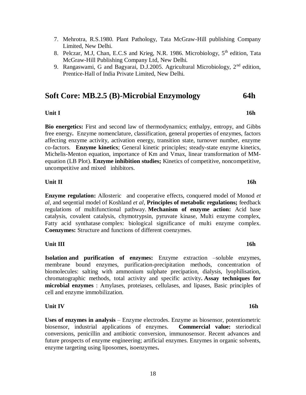- 7. Mehrotra, R.S.1980. Plant Pathology, Tata McGraw-Hill publishing Company Limited, New Delhi.
- 8. Pelczar, M.J, Chan, E.C.S and Krieg, N.R. 1986. Microbiology,  $5<sup>th</sup>$  edition, Tata McGraw-Hill Publishing Company Ltd, New Delhi.
- 9. Rangaswami, G and Bagyarai, D.J.2005. Agricultural Microbiology, 2<sup>nd</sup> edition, Prentice-Hall of India Private Limited, New Delhi.

# **Soft Core: MB.2.5 (B)-Microbial Enzymology 64h**

### **Unit I** 16h

**Bio energetics:** First and second law of thermodynamics; enthalpy, entropy, and Gibbs free energy**.** Enzyme nomenclature, classification, general properties of enzymes, factors affecting enzyme activity, activation energy, transition state, turnover number, enzyme co-factors. **Enzyme kinetics**; General kinetic principles; steady-state enzyme kinetics, Michelis-Menton equation, importance of Km and Vmax, linear transformation of MMequation (LB Plot). **Enzyme inhibition studies;** Kinetics of competitive, noncompetitive, uncompetitive and mixed inhibitors.

### **Unit II** 16h

**Enzyme regulation:** Allosteric and cooperative effects, conquered model of Monod *et al*, and seqential model of Koshland *et al*, **Principles of metabolic regulations;** feedback regulations of multifunctional pathway. **Mechanism of enzyme action:** Acid base catalysis, covalent catalysis, chymotrypsin, pyruvate kinase, Multi enzyme complex, Fatty acid synthatase complex: biological significance of multi enzyme complex. **Coenzymes:** Structure and functions of different coenzymes.

### **Unit III** 16h

**Isolation and purification of enzymes:** Enzyme extraction –soluble enzymes, membrane bound enzymes, purification-precipitation methods, concentration of biomolecules: salting with ammonium sulphate precipation, dialysis, lyophilisation, chromatographic methods, total activity and specific activity**. Assay techniques for microbial enzymes** : Amylases, proteiases, cellulases, and lipases, Basic principles of cell and enzyme immobilization.

### **Unit IV** 16h

**Uses of enzymes in analysis** – Enzyme electrodes. Enzyme as biosensor, potentiometric biosensor, industrial applications of enzymes. **Commercial value:** steriodical conversions, penicillin and antibiotic conversion, immunosensor. Recent advances and future prospects of enzyme engineering; artificial enzymes. Enzymes in organic solvents, enzyme targeting using liposomes, isoenzymes**.**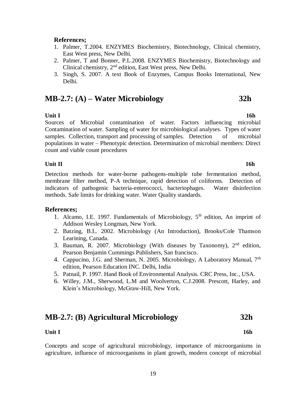### **References;**

- 1. Palmer, T.2004. ENZYMES Biochemistry, Biotechnology, Clinical chemistry, East West press, New Delhi.
- 2. Palmer, T and Bonner, P.L.2008. ENZYMES Biochemistry, Biotechnology and Clinical chemistry, 2nd edition, East West press, New Delhi.
- 3. Singh, S. 2007. A text Book of Enzymes, Campus Books International, New Delhi.

# **MB-2.7: (A) – Water Microbiology 32h**

### **Unit I 16h**

Sources of Microbial contamination of water. Factors influencing microbial Contamination of water. Sampling of water for microbiological analyses. Types of water samples. Collection, transport and processing of samples. Detection of microbial populations in water – Phenotypic detection. Determination of microbial members: Direct count and viable count procedures

### **Unit II** 16h

Detection methods for water-borne pathogens-multiple tube fermentation method, membrane filter method, P-A technique, rapid detection of coliforms. Detection of indicators of pathogenic bacteria-enterococci, bacteriophages. Water disinfection methods. Safe limits for drinking water. Water Quality standards.

### **References;**

- 1. Alcamo, I.E. 1997. Fundamentals of Microbiology,  $5<sup>th</sup>$  edition, An imprint of Addison Wesley Longman, New York.
- 2. Batzing, B.L. 2002. Microbiology (An Introduction), Brooks/Cole Thamson Learining, Canada.
- 3. Bauman, R. 2007. Microbiology (With diseases by Taxonomy),  $2<sup>nd</sup>$  edition, Pearson Benjamin Cummings Publishers, San francisco.
- 4. Cappucino, J.G. and Sherman, N. 2005. Microbiology, A Laboratory Manual, 7th edition, Pearson Education INC. Delhi, India
- 5. Patnail, P. 1997. Hand Book of Environmental Analysis. CRC Press, Inc., USA.
- 6. Willey, J.M., Sherwood, L.M and Woolverton, C.J.2008. Prescott, Harley, and Klein's Microbiology, McGraw-Hill, New York.

# **MB-2.7: (B) Agricultural Microbiology 32h**

### **Unit I** 16h

Concepts and scope of agricultural microbiology, importance of microorganisms in agriculture, influence of microorganisms in plant growth, modern concept of microbial

19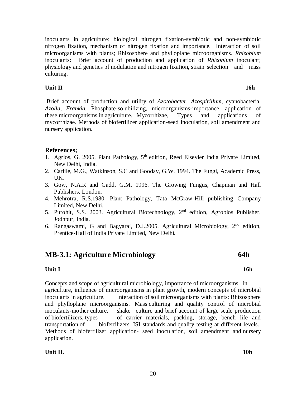inoculants in agriculture; biological nitrogen fixation-symbiotic and non-symbiotic nitrogen fixation, mechanism of nitrogen fixation and importance. Interaction of soil microorganisms with plants; Rhizosphere and phylloplane microorganisms. *Rhizobium* inoculants: Brief account of production and application of *Rhizobium* inoculant; physiology and genetics pf nodulation and nitrogen fixation, strain selection and mass culturing.

### **Unit II** 16h

Brief account of production and utility of *Azotobacter, Azospirillum,* cyanobacteria, *Azolla, Frankia.* Phosphate-solubilizing, microorganisms-importance, application of these microorganisms in agriculture. Mycorrhizae, Types and applications of mycorrhizae. Methods of biofertilizer application-seed inoculation, soil amendment and nursery application.

## **References;**

- 1. Agrios, G. 2005. Plant Pathology,  $5<sup>th</sup>$  edition, Reed Elsevier India Private Limited, New Delhi, India.
- 2. Carlile, M.G., Watkinson, S.C and Gooday, G.W. 1994. The Fungi, Academic Press, UK.
- 3. Gow, N.A.R and Gadd, G.M. 1996. The Growing Fungus, Chapman and Hall Publishers, London.
- 4. Mehrotra, R.S.1980. Plant Pathology, Tata McGraw-Hill publishing Company Limited, New Delhi.
- 5. Purohit, S.S. 2003. Agricultural Biotechnology, 2nd edition, Agrobios Publisher, Jodhpur, India.
- 6. Rangaswami, G and Bagyarai, D.J.2005. Agricultural Microbiology,  $2<sup>nd</sup>$  edition, Prentice-Hall of India Private Limited, New Delhi.

# **MB-3.1: Agriculture Microbiology 64h**

### **Unit I** 16h

Concepts and scope of agricultural microbiology, importance of microorganisms in agriculture, influence of microorganisms in plant growth, modern concepts of microbial inoculants in agriculture. Interaction of soil microorganisms with plants: Rhizosphere and phylloplane microorganisms. Mass culturing and quality control of microbial inoculants-mother culture, shake culture and brief account of large scale production of biofertilizers, types of carrier materials, packing, storage, bench life and transportation of biofertilizers. ISI standards and quality testing at different levels. Methods of biofertilizer application- seed inoculation, soil amendment and nursery application.

**Unit II. 10h**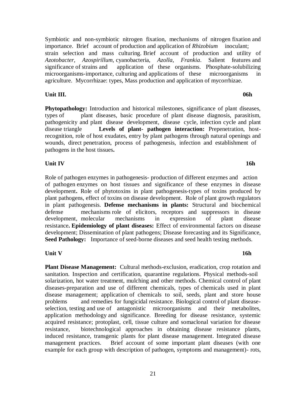Symbiotic and non-symbiotic nitrogen fixation, mechanisms of nitrogen fixation and importance. Brief account of production and application of *Rhizobium* inoculant; strain selection and mass culturing. Brief account of production and utility of *Azotobacter, Azospirillum,* cyanobacteria, *Azolla*, *Frankia*. Salient features and significance of strains and application of these organisms. Phosphate-solubilizing microorganisms-importance, culturing and applications of these microorganisms in agriculture. Mycorrhizae: types, Mass production and application of mycorrhizae.

**Unit III.** 06h

**Phytopathology:** Introduction and historical milestones, significance of plant diseases, types of plant diseases, basic procedure of plant disease diagnosis, parasitism, pathogenicity and plant disease development, disease cycle, infection cycle and plant disease triangle **Levels of plant- pathogen interaction:** Prepenetration, hostrecognition, role of host exudates, entry by plant pathogens through natural openings and wounds, direct penetration, process of pathogenesis, infection and establishment of pathogens in the host tissues**.** 

**Unit IV** 16h

Role of pathogen enzymes in pathogenesis- production of different enzymes and action of pathogen enzymes on host tissues and significance of these enzymes in disease development**.** Role of phytotoxins in plant pathogenesis-types of toxins produced by plant pathogens, effect of toxins on disease development. Role of plant growth regulators in plant pathogenesis. **Defense mechanisms in plants:** Structural and biochemical defense mechanisms role of elicitors, receptors and suppressors in disease development, molecular mechanisms in expression of plant disease resistance**. Epidemiology of plant diseases:** Effect of environmental factors on disease development; Dissemination of plant pathogens; Disease forecasting and its Significance, **Seed Pathology:** Importance of seed-borne diseases and seed health testing methods.

**Unit V** 16h

**Plant Disease Management:** Cultural methods-exclusion, eradication, crop rotation and sanitation. Inspection and certification, quarantine regulations. Physical methods-soil solarization, hot water treatment, mulching and other methods. Chemical control of plant diseases-preparation and use of different chemicals, types of chemicals used in plant disease management; application of chemicals to soil, seeds, plant and store house problems and remedies for fungicidal resistance. Biological control of plant diseaseselection, testing and use of antagonistic microorganisms and their metabolites, application methodology and significance. Breeding for disease resistance, systemic acquired resistance; protoplast, cell, tissue culture and somaclonal variation for disease resistance, biotechnological approaches in obtaining disease resistance plants, induced resistance, transgenic plants for plant disease management. Integrated disease management practices. Brief account of some important plant diseases (with one example for each group with description of pathogen, symptoms and management)- rots,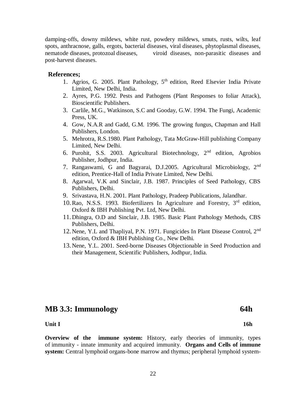damping-offs, downy mildews, white rust, powdery mildews, smuts, rusts, wilts, leaf spots, anthracnose, galls, ergots, bacterial diseases, viral diseases, phytoplasmal diseases, nematode diseases, protozoal diseases, viroid diseases, non-parasitic diseases and post-harvest diseases.

### **References;**

- 1. Agrios, G. 2005. Plant Pathology, 5<sup>th</sup> edition, Reed Elsevier India Private Limited, New Delhi, India.
- 2. Ayres, P.G. 1992. Pests and Pathogens (Plant Responses to foliar Attack), Bioscientific Publishers.
- 3. Carlile, M.G., Watkinson, S.C and Gooday, G.W. 1994. The Fungi, Academic Press, UK.
- 4. Gow, N.A.R and Gadd, G.M. 1996. The growing fungus, Chapman and Hall Publishers, London.
- 5. Mehrotra, R.S.1980. Plant Pathology, Tata McGraw-Hill publishing Company Limited, New Delhi.
- 6. Purohit, S.S. 2003. Agricultural Biotechnology, 2nd edition, Agrobios Publisher, Jodhpur, India.
- 7. Rangaswami, G and Bagyarai, D.J.2005. Agricultural Microbiology,  $2<sup>nd</sup>$ edition, Prentice-Hall of India Private Limited, New Delhi.
- 8. Agarwal, V.K and Sinclair, J.B. 1987. Principles of Seed Pathology, CBS Publishers, Delhi.
- 9. Srivastava, H.N. 2001. Plant Pathology, Pradeep Publications, Jalandhar.
- 10.Rao, N.S.S. 1993. Biofertilizers In Agriculture and Forestry, 3rd edition, Oxford & IBH Publishing Pvt. Ltd, New Delhi.
- 11. Dhingra, O.D and Sinclair, J.B. 1985. Basic Plant Pathology Methods, CBS Publishers, Delhi.
- 12. Nene, Y.L and Thapliyal, P.N. 1971. Fungicides In Plant Disease Control, 2nd edition, Oxford & IBH Publishing Co., New Delhi.
- 13. Nene, Y.L. 2001. Seed-borne Diseases Objectionable in Seed Production and their Management, Scientific Publishers, Jodhpur, India.

# **MB 3.3: Immunology 64h**

### **Unit I** 16h

**Overview of the immune system:** History, early theories of immunity, types of immunity - innate immunity and acquired immunity. **Organs and Cells of immune system:** Central lymphoid organs-bone marrow and thymus; peripheral lymphoid system-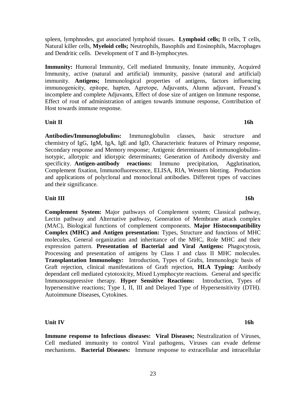spleen, lymphnodes, gut associated lymphoid tissues. **Lymphoid cells;** B cells, T cells, Natural killer cells, **Myeloid cells;** Neutrophils, Basophils and Eosinophils, Macrophages and Dendritic cells. Development of T and B-lymphocytes.

**Immunity:** Humoral Immunity, Cell mediated Immunity, Innate immunity, Acquired Immunity, active (natural and artificial) immunity, passive (natural and artificial) immunity. **Antigens;** Immunological properties of antigens, factors influencing immunogenicity, epitope, hapten, Agretope, Adjuvants, Alumn adjuvant, Freund's incomplete and complete Adjuvants, Effect of dose size of antigen on Immune response, Effect of rout of administration of antigen towards immune response, Contribution of Host towards immune response.

**Unit II** 16h

**Antibodies/Immunoglobulins:** Immunoglobulin classes, basic structure and chemistry of IgG, IgM, IgA, IgE and IgD, Characteristic features of Primary response, Secondary response and Memory response; Antigenic determinants of immunoglobulinsisotypic, allotypic and idiotypic determinants; Generation of Antibody diversity and specificity. **Antigen-antibody reactions:** Immuno precipitation, Agglutination, Complement fixation, Immunofluorescence, ELISA, RIA, Western blotting. Production and applications of polyclonal and monoclonal antibodies. Different types of vaccines and their significance.

### **Unit III** 16h

**Complement System:** Major pathways of Complement system; Classical pathway, Lectin pathway and Alternative pathway, Generation of Membrane attack complex (MAC), Biological functions of complement components. **Major Histocompatibility Complex (MHC) and Antigen presentation:** Types, Structure and functions of MHC molecules, General organization and inheritance of the MHC, Role MHC and their expression pattern. **Presentation of Bacterial and Viral Antigens:** Phagocytosis, Processing and presentation of antigens by Class I and class II MHC molecules. **Transplantation Immunology:** Introduction, Types of Grafts, Immunologic basis of Graft rejection, clinical manifestations of Graft rejection, **HLA Typing:** Antibody dependant cell mediated cytotoxicity, Mixed Lymphocyte reactions. General and specific Immunosuppressive therapy. **Hyper Sensitive Reactions:** Introduction, Types of hypersensitive reactions; Type I, II, III and Delayed Type of Hypersensitivity (DTH). Autoimmune Diseases, Cytokines.

**Unit IV** 16h

**Immune response to Infectious diseases: Viral Diseases;** Neutralization of Viruses, Cell mediated immunity to control Viral pathogens, Viruses can evade defense mechanisms. **Bacterial Diseases:** Immune response to extracellular and intracellular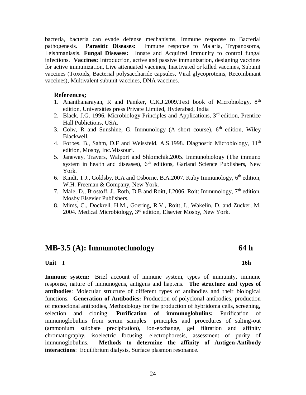bacteria, bacteria can evade defense mechanisms, Immune response to Bacterial pathogenesis. **Parasitic Diseases:** Immune response to Malaria, Trypanosoma, Leishmaniasis. **Fungal Diseases:** Innate and Acquired Immunity to control fungal infections. **Vaccines:** Introduction, active and passive immunization, designing vaccines for active immunization, Live attenuated vaccines, Inactivated or killed vaccines, Subunit vaccines (Toxoids, Bacterial polysaccharide capsules, Viral glycoproteins, Recombinant vaccines), Multivalent subunit vaccines, DNA vaccines.

### **References;**

- 1. Ananthanarayan, R and Paniker, C.K.J.2009.Text book of Microbiology,  $8<sup>th</sup>$ edition, Universities press Private Limited, Hyderabad, India
- 2. Black, J.G. 1996. Microbiology Principles and Applications, 3rd edition, Prentice Hall Publictions, USA.
- 3. Coiw, R and Sunshine, G. Immunology (A short course),  $6<sup>th</sup>$  edition, Wiley Blackwell.
- 4. Forbes, B., Sahm, D.F and Weissfeld, A.S.1998. Diagnostic Microbiology, 11<sup>th</sup> edition, Mosby, Inc.Missouri.
- 5. Janeway, Travers, Walport and Shlomchik.2005. Immunobiology (The immuno system in health and diseases),  $6<sup>th</sup>$  editions, Garland Science Publishers, New York.
- 6. Kindt, T.J., Goldsby, R.A and Osborne, B.A.2007. Kuby Immunology, 6th edition, W.H. Freeman & Company, New York.
- 7. Male, D., Brostoff, J., Roth, D.B and Roitt, I.2006. Roitt Immunology,  $7<sup>th</sup>$  edition. Mosby Elsevier Publishers.
- 8. Mims, C., Dockrell, H.M., Goering, R.V., Roitt, I., Wakelin, D. and Zucker, M. 2004. Medical Microbiology,  $3<sup>rd</sup>$  edition, Elsevier Mosby, New York.

# **MB-3.5 (A): Immunotechnology 64 h**

### **Unit I** 16h

**Immune system:** Brief account of immune system, types of immunity, immune response, nature of immunogens, antigens and haptens. **The structure and types of antibodies**: Molecular structure of different types of antibodies and their biological functions. **Generation of Antibodies:** Production of polyclonal antibodies, production of monoclonal antibodies, Methodology for the production of hybridoma cells, screening, selection and cloning. **Purification of immunoglobulins:** Purification of immunoglobulins from serum samples– principles and procedures of salting-out (ammonium sulphate precipitation), ion-exchange, gel filtration and affinity chromatography, isoelectric focusing, electrophoresis, assessment of purity of immunoglobulins. **Methods to determine the affinity of Antigen-Antibody interactions**: Equilibrium dialysis, Surface plasmon resonance.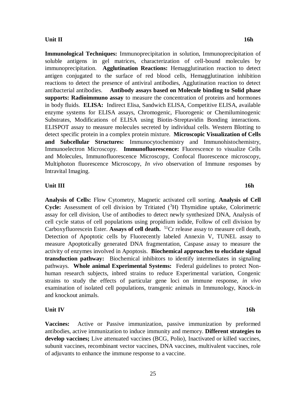### **Unit II** 16h

**Immunological Techniques:** Immunoprecipitation in solution, Immunoprecipitation of soluble antigens in gel matrices, characterization of cell-bound molecules by immunoprecipitation. **Agglutination Reactions:** Hemagglutination reaction to detect antigen conjugated to the surface of red blood cells, Hemagglutination inhibition reactions to detect the presence of antiviral antibodies, Agglutination reaction to detect antibacterial antibodies. **Antibody assays based on Molecule binding to Solid phase supports: Radioimmuno assay** to measure the concentration of proteins and hormones in body fluids. **ELISA:** Indirect Elisa, Sandwich ELISA, Competitive ELISA, available enzyme systems for ELISA assays, Chromogenic, Fluorogenic or Chemiluminogenic Substrates, Modifications of ELISA using Biotin-Streptavidin Bonding interactions. ELISPOT assay to measure molecules secreted by individual cells. Western Blotting to detect specific protein in a complex protein mixture. **Microscopic Visualization of Cells and Subcellular Structures:** Immunocytochemistry and Immunohistochemistry, Immunoelectron Microscopy. **Immunofluorescence:** Fluorescence to visualize Cells and Molecules, Immunofluorescence Microscopy, Confocal fluorescence microscopy, Multiphoton fluorescence Microscopy, *In vivo* observation of Immune responses by Intravital Imaging.

### **Unit III** 16h

**Analysis of Cells:** Flow Cytometry, Magnetic activated cell sorting. **Analysis of Cell Cycle:** Assessment of cell division by Tritiated (<sup>3</sup>H) Thymidine uptake, Colorimetric assay for cell division, Use of antibodies to detect newly synthesized DNA, Analysis of cell cycle status of cell populations using propidium iodide, Follow of cell division by Carboxyfluorescein Ester. **Assays of cell death.** <sup>51</sup>Cr release assay to measure cell death, Detection of Apoptotic cells by Fluorecently labeled Annexin V, TUNEL assay to measure Apoptotically generated DNA fragmentation, Caspase assay to measure the activity of enzymes involved in Apoptosis. **Biochemical approaches to elucidate signal transduction pathway:** Biochemical inhibitors to identify intermediates in signaling pathways. **Whole animal Experimental Systems:** Federal guidelines to protect Nonhuman research subjects, inbred strains to reduce Experimental variation, Congenic strains to study the effects of particular gene loci on immune response, *in vivo* examination of isolated cell populations, transgenic animals in Immunology, Knock-in and knockout animals.

### **Unit IV** 16h

**Vaccines:** Active or Passive immunization, passive immunization by preformed antibodies, active immunization to induce immunity and memory. **Different strategies to develop vaccines;** Live attenuated vaccines (BCG, Polio), Inactivated or killed vaccines, subunit vaccines, recombinant vector vaccines, DNA vaccines, multivalent vaccines, role of adjuvants to enhance the immune response to a vaccine.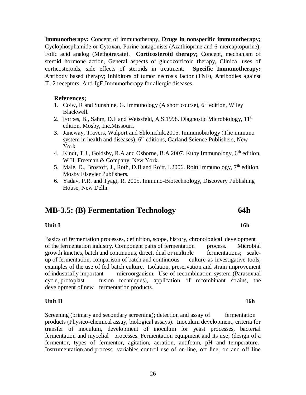**Immunotherapy:** Concept of immunotherapy, **Drugs in nonspecific immunotherapy;** Cyclophosphamide or Cytoxan, Purine antagonists (Azathioprine and 6-mercaptopurine), Folic acid analog (Methotrexate). **Corticosteroid therapy;** Concept, mechanism of steroid hormone action, General aspects of glucocorticoid therapy, Clinical uses of corticosteroids, side effects of steroids in treatment. **Specific Immunotherapy:** Antibody based therapy; Inhibitors of tumor necrosis factor (TNF), Antibodies against IL-2 receptors, Anti-IgE Immunotherapy for allergic diseases.

### **References;**

- 1. Coiw, R and Sunshine, G. Immunology (A short course),  $6<sup>th</sup>$  edition, Wiley Blackwell.
- 2. Forbes, B., Sahm, D.F and Weissfeld, A.S.1998. Diagnostic Microbiology,  $11<sup>th</sup>$ edition, Mosby, Inc.Missouri.
- 3. Janeway, Travers, Walport and Shlomchik.2005. Immunobiology (The immuno system in health and diseases),  $6<sup>th</sup>$  editions, Garland Science Publishers, New York.
- 4. Kindt, T.J., Goldsby, R.A and Osborne, B.A.2007. Kuby Immunology, 6<sup>th</sup> edition, W.H. Freeman & Company, New York.
- 5. Male, D., Brostoff, J., Roth, D.B and Roitt, I.2006. Roitt Immunology,  $7<sup>th</sup>$  edition, Mosby Elsevier Publishers.
- 6. Yadav, P.R. and Tyagi, R. 2005. Immuno-Biotechnology, Discovery Publishing House, New Delhi.

# **MB-3.5: (B) Fermentation Technology 64h**

### **Unit I 16h**

Basics of fermentation processes, definition, scope, history, chronological development of the fermentation industry. Component parts of fermentation process. Microbial growth kinetics, batch and continuous, direct, dual or multiple fermentations; scaleup of fermentation, comparison of batch and continuous culture as investigative tools, examples of the use of fed batch culture. Isolation, preservation and strain improvement of industrially important microorganism. Use of recombination system (Parasexual cycle, protoplast fusion techniques), application of recombinant strains, the development of new fermentation products.

### **Unit II** 16h

Screening (primary and secondary screening); detection and assay of fermentation products (Physico-chemical assay, biological assays). Inoculum development, criteria for transfer of inoculum, development of inoculum for yeast processes, bacterial fermentation and mycelial processes. Fermentation equipment and its use; (design of a fermentor, types of fermentor, agitation, aeration, antifoam, pH and temperature. Instrumentation and process variables control use of on-line, off line, on and off line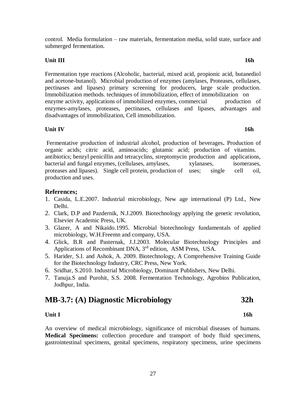control. Media formulation – raw materials, fermentation media, solid state, surface and submerged fermentation.

### **Unit III** 16h

Fermentation type reactions (Alcoholic, bacterial, mixed acid, propionic acid, butanediol and acetone-butanol). Microbial production of enzymes (amylases, Proteases, cellulases, pectinases and lipases) primary screening for producers, large scale production. Immobilization methods. techniques of immobilization, effect of immobilization on enzyme activity, applications of immobilized enzymes, commercial production of enzymes-amylases, proteases, pectinases, cellulases and lipases, advantages and disadvantages of immobilization, Cell immobilization.

### **Unit IV** 16h

Fermentative production of industrial alcohol, production of beverages**.** Production of organic acids; citric acid, aminoacids; glutamic acid; production of vitamins. antibiotics; benzyl penicillin and tetracyclins, streptomycin production and applications, bacterial and fungal enzymes, (cellulases, amylases, xylanases, isomerases, proteases and lipases). Single cell protein, production of uses; single cell oil, production and uses.

### **References;**

- 1. Casida, L.E.2007. Industrial microbiology, New age international (P) Ltd., New Delhi.
- 2. Clark, D.P and Pazdernik, N.J.2009. Biotechnology applying the genetic revolution, Elsevier Academic Press, UK.
- 3. Glazer, A and Nikaido.1995. Microbial biotechnology fundamentals of applied microbiology, W.H.Freemn and company, USA.
- 4. Glick, B.R and Pasternak, J.J.2003. Molecular Biotechnology Principles and Applications of Recombinant DNA, 3<sup>rd</sup> edition, ASM Press, USA.
- 5. Harider, S.I. and Ashok, A. 2009. Biotechnology, A Comprehensive Training Guide for the Biotechnology Industry, CRC Press, New York.
- 6. Sridhar, S.2010. Industrial Microbiology, Dominant Publishers, New Delhi.
- 7. Tanuja.S and Purohit, S.S. 2008. Fermentation Technology, Agrobios Publication, Jodhpur, India.

# **MB-3.7: (A) Diagnostic Microbiology 32h**

### **Unit I** 16h

An overview of medical microbiology, significance of microbial diseases of humans. **Medical Specimens:** collection procedure and transport of body fluid specimens, gastrointestinal specimens, genital specimens, respiratory specimens, urine specimens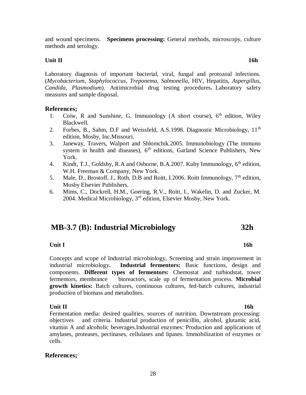and wound specimens. **Specimens processing:** General methods, microscopy, culture methods and serology.

### **Unit II** 16h

Laboratory diagnosis of important bacterial, viral, fungal and protozoal infections. (*Mycobacterium*, *Staphylococcus*, *Treponema*, *Salmonella*, HIV, Hepatitis, *Aspergillus*, *Candida*, *Plasmodium*). Antimicrobial drug testing procedures**.** Laboratory safety measures and sample disposal.

### **References;**

- 1. Coiw, R and Sunshine, G. Immunology (A short course),  $6<sup>th</sup>$  edition, Wiley Blackwell.
- 2. Forbes, B., Sahm, D.F and Weissfeld, A.S.1998. Diagnostic Microbiology, 11<sup>th</sup> edition, Mosby, Inc.Missouri.
- 3. Janeway, Travers, Walport and Shlomchik.2005. Immunobiology (The immuno system in health and diseases),  $6<sup>th</sup>$  editions, Garland Science Publishers, New York.
- 4. Kindt, T.J., Goldsby, R.A and Osborne, B.A.2007. Kuby Immunology, 6<sup>th</sup> edition, W.H. Freeman & Company, New York.
- 5. Male, D., Brostoff, J., Roth, D.B and Roitt, I.2006. Roitt Immunology,  $7<sup>th</sup>$  edition, Mosby Elsevier Publishers.
- 6. Mims, C., Dockrell, H.M., Goering, R.V., Roitt, I., Wakelin, D. and Zucker, M. 2004. Medical Microbiology,  $3<sup>rd</sup>$  edition, Elsevier Mosby, New York.

# **MB-3.7 (B): Industrial Microbiology 32h**

# **Unit I** 16h

Concepts and scope of Industrial microbiology, Screening and strain improvement in industrial microbiology**. Industrial fermentors:** Basic functions, design and components. **Different types of fermentors:** Chemostat and turbiodstat, tower fermentors, membrance bioreactors, scale up of fermentation process. **Microbial growth kinetics:** Batch cultures, continuous cultures, fed-batch cultures, industrial production of biomass and metabolites.

### **Unit II** 16h

Fermentation media: desired qualities, sources of nutrition. Downstream processing: objectives and criteria. Industrial production of penicillin, alcohol, glutamic acid, vitamin A and alcoholic beverages.Industrial enzymes: Production and applications of amylases, proteases, pectinases, cellulases and lipases. Immobilization of enzymes or cells.

### **References;**

28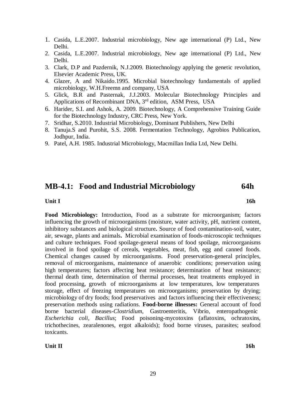- 1. Casida, L.E.2007. Industrial microbiology, New age international (P) Ltd., New Delhi.
- 2. Casida, L.E.2007. Industrial microbiology, New age international (P) Ltd., New Delhi.
- 3. Clark, D.P and Pazdernik, N.J.2009. Biotechnology applying the genetic revolution, Elsevier Academic Press, UK.
- 4. Glazer, A and Nikaido.1995. Microbial biotechnology fundamentals of applied microbiology, W.H.Freemn and company, USA
- 5. Glick, B.R and Pasternak, J.J.2003. Molecular Biotechnology Principles and Applications of Recombinant DNA, 3<sup>rd</sup> edition, ASM Press, USA
- 6. Harider, S.I. and Ashok, A. 2009. Biotechnology, A Comprehensive Training Guide for the Biotechnology Industry, CRC Press, New York.
- 7. Sridhar, S.2010. Industrial Microbiology, Dominant Publishers, New Delhi
- 8. Tanuja.S and Purohit, S.S. 2008. Fermentation Technology, Agrobios Publication, Jodhpur, India.
- 9. Patel, A.H. 1985. Industrial Microbiology, Macmillan India Ltd, New Delhi.

## **MB-4.1: Food and Industrial Microbiology 64h**

### **Unit I** 16h

**Food Microbiology:** Introduction, Food as a substrate for microorganism; factors influencing the growth of microorganisms (moisture, water activity, pH, nutrient content, inhibitory substances and biological structure**.** Source of food contamination-soil, water, air, sewage, plants and animals**.** Microbial examination of foods-microscopic techniques and culture techniques. Food spoilage-general means of food spoilage, microorganisms involved in food spoilage of cereals, vegetables, meat, fish, egg and canned foods. Chemical changes caused by microorganisms. Food preservation-general principles, removal of microorganisms, maintenance of anaerobic conditions; preservation using high temperatures; factors affecting heat resistance; determination of heat resistance; thermal death time, determination of thermal processes, heat treatments employed in food processing, growth of microorganisms at low temperatures, low temperatures storage, effect of freezing temperatures on microorganisms; preservation by drying; microbiology of dry foods; food preservatives and factors influencing their effectiveness; preservation methods using radiations. **Food-borne illnesses:** General account of food borne bacterial diseases-*Clostridium*, Gastroenteritis, Vibrio, enteropathogenic *Escherichia coli*, *Bacillus*; Food poisoning-mycotoxins (aflatoxins, ochratoxins, trichothecines, zearalenones, ergot alkaloids); food borne viruses, parasites; seafood toxicants.

### **Unit II** 16h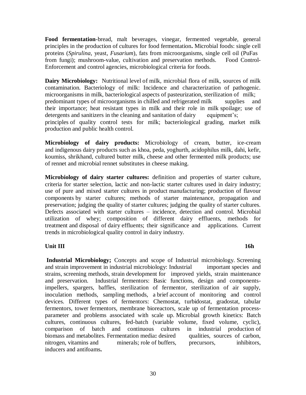**Food fermentation**-bread, malt beverages, vinegar, fermented vegetable, general principles in the production of cultures for food fermentation**.** Microbial foods: single cell proteins (*Spirulina*, yeast, *Fusarium*), fats from microorganisms, single cell oil (PuFas from fungi); mushroom-value, cultivation and preservation methods. Food Control-Enforcement and control agencies, microbiological criteria for foods.

**Dairy Microbiology:** Nutritional level of milk, microbial flora of milk, sources of milk contamination. Bacteriology of milk: Incidence and characterization of pathogenic. microorganisms in milk, bacteriological aspects of pasteurization, sterilization of milk; predominant types of microorganisms in chilled and refrigerated milk supplies and their importance; heat resistant types in milk and their role in milk spoilage; use of detergents and sanitizers in the cleaning and sanitation of dairy equipment's; principles of quality control tests for milk; bacteriological grading, market milk production and public health control.

**Microbiology of dairy products:** Microbiology of cream, butter, ice-cream and indigenous dairy products such as khoa, peda, yoghurth, acidophilus milk, dahi, kefir, koumiss, shrikhand, cultured butter milk, cheese and other fermented milk products; use of rennet and microbial rennet substitutes in cheese making.

**Microbiology of dairy starter cultures:** definition and properties of starter culture, criteria for starter selection, lactic and non-lactic starter cultures used in dairy industry; use of pure and mixed starter cultures in product manufacturing; production of flavour components by starter cultures; methods of starter maintenance, propagation and preservation; judging the quality of starter cultures; judging the quality of starter cultures. Defects associated with starter cultures – incidence, detection and control. Microbial utilization of whey; composition of different dairy effluents, methods for treatment and disposal of dairy effluents; their significance and applications. Current trends in microbiological quality control in dairy industry.

### **Unit III** 16h

**Industrial Microbiology;** Concepts and scope of Industrial microbiology. Screening and strain improvement in industrial microbiology: Industrial important species and strains, screening methods, strain development for improved yields, strain maintenance and preservation. Industrial fermentors: Basic functions, design and componentsimpellers, spargers, baffles, sterilization of fermentor, sterilization of air supply, inoculation methods, sampling methods, a brief account of monitoring and control devices. Different types of fermentors: Chemostat, turbidostat, gradostat, tabular fermentors, tower fermentors, membrane bioreactors, scale up of fermentation processparameter and problems associated with scale up. Microbial growth kinetics: Batch cultures, continuous cultures, fed-batch (variable volume, fixed volume, cyclic), comparison of batch and continuous cultures in industrial production of biomass and metabolites. Fermentation media**:** desired qualities, sources of carbon, nitrogen, vitamins and minerals; role of buffers, precursors, inhibitors, inducers and antifoams**.**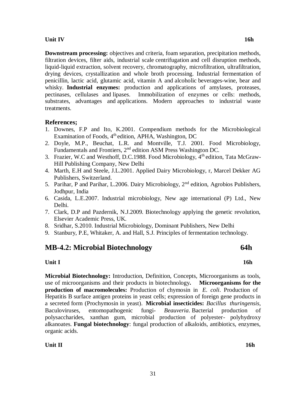### **Unit IV** 16h

**Downstream processing:** objectives and criteria, foam separation, precipitation methods, filtration devices, filter aids, industrial scale centrifugation and cell disruption methods, liquid-liquid extraction, solvent recovery, chromatography, microfiltration, ultrafiltration, drying devices, crystallization and whole broth processing. Industrial fermentation of penicillin, lactic acid, glutamic acid, vitamin A and alcoholic beverages-wine, bear and whisky. **Industrial enzymes:** production and applications of amylases, proteases, pectinases, cellulases and lipases. Immobilization of enzymes or cells: methods, substrates, advantages and applications. Modern approaches to industrial waste treatments.

### **References;**

- 1. Downes, F.P and Ito, K.2001. Compendium methods for the Microbiological Examination of Foods, 4<sup>th</sup> edition, APHA, Washington, DC
- 2. Doyle, M.P., Beuchat, L.R. and Montville, T.J. 2001. Food Microbiology, Fundamentals and Frontiers, 2nd edition ASM Press Washington DC.
- 3. Frazier, W.C and Westhoff, D.C.1988. Food Microbiology, 4<sup>th</sup> edition, Tata McGraw-Hill Publishing Company, New Delhi
- 4. Marth, E.H and Steele, J.L.2001. Applied Dairy Microbiology, r, Marcel Dekker AG Publishers, Switzerland.
- 5. Parihar, P and Parihar, L.2006. Dairy Microbiology, 2<sup>nd</sup> edition, Agrobios Publishers, Jodhpur, India
- 6. Casida, L.E.2007. Industrial microbiology, New age international (P) Ltd., New Delhi.
- 7. Clark, D.P and Pazdernik, N.J.2009. Biotechnology applying the genetic revolution, Elsevier Academic Press, UK.
- 8. Sridhar, S.2010. Industrial Microbiology, Dominant Publishers, New Delhi
- 9. Stanbury, P.E, Whitaker, A. and Hall, S.J. Principles of fermentation technology.

## **MB-4.2: Microbial Biotechnology 64h**

### **Unit I** 16h

**Microbial Biotechnology:** Introduction, Definition, Concepts, Microorganisms as tools, use of microorganisms and their products in biotechnology**. Microorganisms for the production of macromolecules:** Production of chymosin in *E. coli*. Production of Hepatitis B surface antigen proteins in yeast cells; expression of foreign gene products in a secreted form (Prochymosin in yeast). **Microbial insecticides:** *Bacillus thuringensis*, Baculoviruses, entomopathogenic fungi- *Beauveria*. Bacterial production of polysaccharides, xanthan gum, microbial production of polyester- polyhydroxy alkanoates. **Fungal biotechnology**: fungal production of alkaloids, antibiotics, enzymes, organic acids.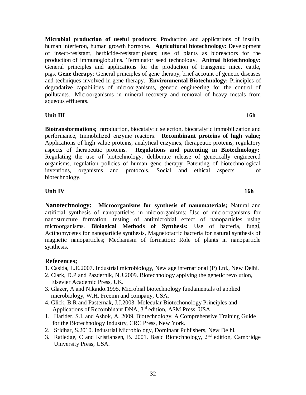**Microbial production of useful products:** Production and applications of insulin, human interferon, human growth hormone. **Agricultural biotechnology**: Development of insect-resistant, herbicide-resistant plants; use of plants as bioreactors for the production of immunoglobulins. Terminator seed technology. **Animal biotechnology:** General principles and applications for the production of transgenic mice, cattle, pigs. **Gene therapy**: General principles of gene therapy, brief account of genetic diseases and techniques involved in gene therapy. **Environmental Biotechnology:** Principles of degradative capabilities of microorganisms, genetic engineering for the control of pollutants. Microorganisms in mineral recovery and removal of heavy metals from aqueous effluents.

### **Unit III** 16h

**Biotransformations**; Introduction, biocatalytic selection, biocatalytic immobilization and performance, Immobilized enzyme reactors. **Recombinant proteins of high value;**  Applications of high value proteins, analytical enzymes, therapeutic proteins, regulatory aspects of therapeutic proteins. **Regulations and patenting in Biotechnology:** Regulating the use of biotechnology, deliberate release of genetically engineered organisms, regulation policies of human gene therapy. Patenting of biotechnological inventions, organisms and protocols. Social and ethical aspects of biotechnology.

### **Unit IV** 16h

**Nanotechnology: Microorganisms for synthesis of nanomaterials;** Natural and artificial synthesis of nanoparticles in microorganisms; Use of microorganisms for nanostructure formation, testing of antimicrobial effect of nanoparticles using microorganisms. **Biological Methods of Synthesis:** Use of bacteria, fungi, Actinomycetes for nanoparticle synthesis, Magnetotactic bacteria for natural synthesis of magnetic nanoparticles; Mechanism of formation; Role of plants in nanoparticle synthesis.

### **References;**

- 1. Casida, L.E.2007. Industrial microbiology, New age international (P) Ltd., New Delhi.
- 2. Clark, D.P and Pazdernik, N.J.2009. Biotechnology applying the genetic revolution, Elsevier Academic Press, UK.
- 3. Glazer, A and Nikaido.1995. Microbial biotechnology fundamentals of applied microbiology, W.H. Freemn and company, USA.
- 4. Glick, B.R and Pasternak, J.J.2003. Molecular Biotechonology Principles and Applications of Recombinant DNA, 3<sup>rd</sup> edition, ASM Press, USA
- 1. Harider, S.I. and Ashok, A. 2009. Biotechnology, A Comprehensive Training Guide for the Biotechnology Industry, CRC Press, New York.
- 2. Sridhar, S.2010. Industrial Microbiology, Dominant Publishers, New Delhi.
- 3. Ratledge, C and Kristiansen, B. 2001. Basic Biotechnology, 2nd edition, Cambridge University Press, USA.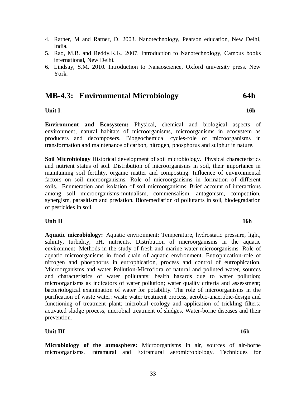- 4. Ratner, M and Ratner, D. 2003. Nanotechnology, Pearson education, New Delhi, India.
- 5. Rao, M.B. and Reddy.K.K. 2007. Introduction to Nanotechnology, Campus books international, New Delhi.
- 6. Lindsay, S.M. 2010. Introduction to Nanaoscience, Oxford university press. New York.

## **MB-4.3: Environmental Microbiology 64h**

**Unit I**. **16h**

**Environment and Ecosystem:** Physical, chemical and biological aspects of environment, natural habitats of microorganisms, microorganisms in ecosystem as producers and decomposers. Biogeochemical cycles-role of microorganisms in transformation and maintenance of carbon, nitrogen, phosphorus and sulphur in nature.

**Soil Microbiology** Historical development of soil microbiology. Physical characteristics and nutrient status of soil. Distribution of microorganisms in soil, their importance in maintaining soil fertility, organic matter and composting. Influence of environmental factors on soil microorganisms. Role of microorganisms in formation of different soils. Enumeration and isolation of soil microorganisms. Brief account of interactions among soil microorganisms-mutualism, commensalism, antagonism, competition, synergism, parasitism and predation. Bioremediation of pollutants in soil, biodegradation of pesticides in soil.

### **Unit II** 16h

**Aquatic microbiology:** Aquatic environment: Temperature, hydrostatic pressure, light, salinity, turbidity, pH, nutrients. Distribution of microorganisms in the aquatic environment. Methods in the study of fresh and marine water microorganisms. Role of aquatic microorganisms in food chain of aquatic environment. Eutrophication-role of nitrogen and phosphorus in eutrophication, process and control of eutrophication. Microorganisms and water Pollution-Microflora of natural and polluted water, sources and characteristics of water pollutants; health hazards due to water pollution; microorganisms as indicators of water pollution; water quality criteria and assessment; bacteriological examination of water for potability. The role of microorganisms in the purification of waste water: waste water treatment process, aerobic-anaerobic-design and functioning of treatment plant; microbial ecology and application of trickling filters; activated sludge process, microbial treatment of sludges. Water-borne diseases and their prevention.

### **Unit III** 16h

**Microbiology of the atmosphere:** Microorganisms in air, sources of air-borne microorganisms. Intramural and Extramural aeromicrobiology. Techniques for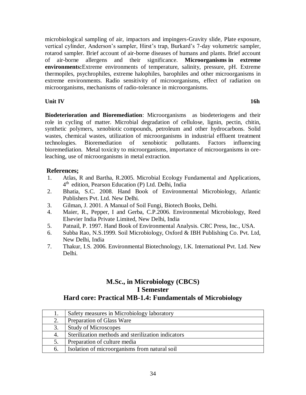microbiological sampling of air, impactors and impingers-Gravity slide, Plate exposure, vertical cylinder, Anderson's sampler, Hirst's trap, Burkard's 7-day volumetric sampler, rotarod sampler. Brief account of air-borne diseases of humans and plants. Brief account of air-borne allergens and their significance. **Microorganisms in extreme environments:**Extreme environments of temperature, salinity, pressure, pH. Extreme thermopiles, psychrophiles, extreme halophiles, barophiles and other microorganisms in extreme environments. Radio sensitivity of microorganisms, effect of radiation on microorganisms, mechanisms of radio-tolerance in microorganisms.

**Unit IV** 16h

**Biodeterioration and Bioremediation**: Microorganisms as biodeteriogens and their role in cycling of matter. Microbial degradation of cellulose, lignin, pectin, chitin, synthetic polymers, xenobiotic compounds, petroleum and other hydrocarbons. Solid wastes, chemical wastes, utilization of microorganisms in industrial effluent treatment technologies. Bioremediation of xenobiotic pollutants. Factors influencing bioremediation. Metal toxicity to microorganisms, importance of microorganisms in oreleaching, use of microorganisms in metal extraction.

## **References;**

- 1. Atlas, R and Bartha, R.2005. Microbial Ecology Fundamental and Applications, 4 th edition, Pearson Education (P) Ltd. Delhi, India
- 2. Bhatia, S.C. 2008. Hand Book of Environmental Microbiology, Atlantic Publishers Pvt. Ltd. New Delhi.
- 3. Gilman, J. 2001. A Manual of Soil Fungi, Biotech Books, Delhi.
- 4. Maier, R., Pepper, I and Gerba, C.P.2006. Environmental Microbiology, Reed Elsevier India Private Limited, New Delhi, India
- 5. Patnail, P. 1997. Hand Book of Environmental Analysis. CRC Press, Inc., USA.
- 6. Subba Rao, N.S.1999. Soil Microbiology, Oxford & IBH Publishing Co. Pvt. Ltd, New Delhi, India
- 7. Thakur, I.S. 2006. Environmental Biotechnology, I.K. International Pvt. Ltd. New Delhi.

# **M.Sc., in Microbiology (CBCS) I Semester Hard core: Practical MB-1.4: Fundamentals of Microbiology**

|    | Safety measures in Microbiology laboratory         |
|----|----------------------------------------------------|
| 2. | Preparation of Glass Ware                          |
| 3. | <b>Study of Microscopes</b>                        |
| 4. | Sterilization methods and sterilization indicators |
| 5. | Preparation of culture media                       |
| 6. | Isolation of microorganisms from natural soil      |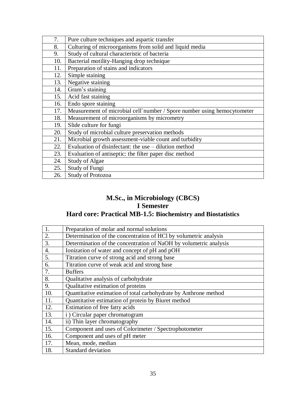| 7.  | Pure culture techniques and aspartic transfer                           |
|-----|-------------------------------------------------------------------------|
| 8.  | Culturing of microorganisms from solid and liquid media                 |
| 9.  | Study of cultural characteristic of bacteria                            |
| 10. | Bacterial motility-Hanging drop technique                               |
| 11. | Preparation of stains and indicators                                    |
| 12. | Simple staining                                                         |
| 13. | Negative staining                                                       |
| 14. | Gram's staining                                                         |
| 15. | Acid fast staining                                                      |
| 16. | Endo spore staining                                                     |
| 17. | Measurement of microbial cell`number / Spore number using hemocytometer |
| 18. | Measurement of microorganisms by micrometry                             |
| 19. | Slide culture for fungi                                                 |
| 20. | Study of microbial culture preservation methods                         |
| 21. | Microbial growth assessment-viable count and turbidity                  |
| 22. | Evaluation of disinfectant: the use – dilution method                   |
| 23. | Evaluation of antiseptic: the filter paper disc method                  |
| 24. | <b>Study of Algae</b>                                                   |
| 25. | Study of Fungi                                                          |
| 26. | <b>Study of Protozoa</b>                                                |

# **M.Sc., in Microbiology (CBCS) I Semester Hard core: Practical MB-1.5: Biochemistry and Biostatistics**

| 1.               | Preparation of molar and normal solutions                         |
|------------------|-------------------------------------------------------------------|
| 2.               | Determination of the concentration of HCl by volumetric analysis  |
| 3.               | Determination of the concentration of NaOH by volumetric analysis |
| $\overline{4}$ . | Ionization of water and concept of pH and pOH                     |
| 5.               | Titration curve of strong acid and strong base                    |
| 6.               | Titration curve of weak acid and strong base                      |
| 7.               | <b>Buffers</b>                                                    |
| 8.               | Qualitative analysis of carbohydrate                              |
| 9.               | Qualitative estimation of proteins                                |
| 10.              | Quantitative estimation of total carbohydrate by Anthrone method  |
| 11.              | Quantitative estimation of protein by Biuret method               |
| 12.              | Estimation of free fatty acids                                    |
| 13.              | i) Circular paper chromatogram                                    |
| 14.              | ii) Thin layer chromatography                                     |
| 15.              | Component and uses of Colorimeter / Spectrophotometer             |
| 16.              | Component and uses of pH meter                                    |
| 17.              | Mean, mode, median                                                |
| 18.              | <b>Standard deviation</b>                                         |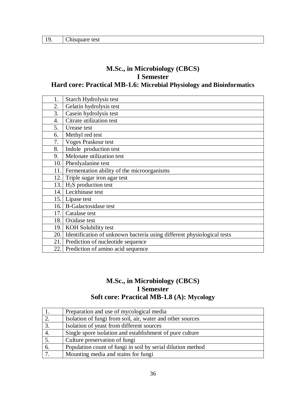| 19. | Chisquare test |
|-----|----------------|
|-----|----------------|

# **M.Sc., in Microbiology (CBCS) I Semester Hard core: Practical MB-1.6: Microbial Physiology and Bioinformatics**

| 1.  | Starch Hydrolysis test                                                 |
|-----|------------------------------------------------------------------------|
| 2.  | Gelatin hydrolysis test                                                |
| 3.  | Casein hydrolysis test                                                 |
| 4.  | Citrate utilization test                                               |
| 5.  | Urease test                                                            |
| 6.  | Methyl red test                                                        |
| 7.  | <b>Voges Praskour test</b>                                             |
| 8.  | Indole production test                                                 |
| 9.  | Melonate utilization test                                              |
| 10. | Phenlyalanine test                                                     |
| 11. | Fermentation ability of the microorganisms                             |
| 12. | Triple sugar iron agar test                                            |
| 13. | $H2S$ production test                                                  |
| 14. | Lecithinase test                                                       |
| 15. | Lipase test                                                            |
| 16. | <b>B-Galactosidase test</b>                                            |
| 17. | Catalase test                                                          |
| 18. | Oxidase test                                                           |
| 19. | KOH Solubility test                                                    |
| 20. | Identification of unknown bacteria using different physiological tests |
| 21. | Prediction of nucleotide sequence                                      |
|     | 22. Prediction of amino acid sequence                                  |

# **M.Sc., in Microbiology (CBCS) I Semester Soft core: Practical MB-1.8 (A): Mycology**

|    | Preparation and use of mycological media                    |
|----|-------------------------------------------------------------|
| 2. | Isolation of fungi from soil, air, water and other sources  |
| 3. | Isolation of yeast from different sources                   |
| 4. | Single spore isolation and establishment of pure culture    |
| 5. | Culture preservation of fungi                               |
| 6. | Population count of fungi in soil by serial dilution method |
|    | Mounting media and stains for fungi                         |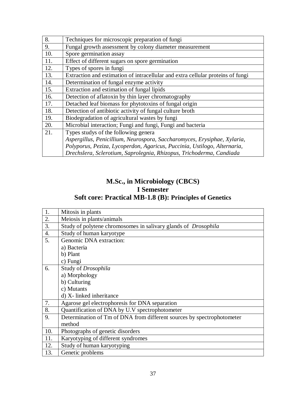| 8.  | Techniques for microscopic preparation of fungi                                 |
|-----|---------------------------------------------------------------------------------|
| 9.  | Fungal growth assessment by colony diameter measurement                         |
| 10. | Spore germination assay                                                         |
| 11. | Effect of different sugars on spore germination                                 |
| 12. | Types of spores in fungi                                                        |
| 13. | Extraction and estimation of intracellular and extra cellular proteins of fungi |
| 14. | Determination of fungal enzyme activity                                         |
| 15. | Extraction and estimation of fungal lipids                                      |
| 16. | Detection of aflatoxin by thin layer chromatography                             |
| 17. | Detached leaf biomass for phytotoxins of fungal origin                          |
| 18. | Detection of antibiotic activity of fungal culture broth                        |
| 19. | Biodegradation of agricultural wastes by fungi                                  |
| 20. | Microbial interaction; Fungi and fungi, Fungi and bacteria                      |
| 21. | Types studys of the following general                                           |
|     | Aspergillus, Penicillium, Neurospora, Saccharomyces, Erysiphae, Xylaria,        |
|     | Polyporus, Peziza, Lycoperdon, Agaricus, Puccinia, Ustilogo, Alternaria,        |
|     | Drechslera, Sclerotium, Saprolegnia, Rhizopus, Trichoderma, Candiada            |

# **M.Sc., in Microbiology (CBCS) I Semester Soft core: Practical MB-1.8 (B): Principles of Genetics**

| 1.               | Mitosis in plants                                                      |
|------------------|------------------------------------------------------------------------|
| 2.               | Meiosis in plants/animals                                              |
| 3.               | Study of polytene chromosomes in salivary glands of <i>Drosophila</i>  |
| $\overline{4}$ . | Study of human karyotype                                               |
| 5.               | Genomic DNA extraction:                                                |
|                  | a) Bacteria                                                            |
|                  | b) Plant                                                               |
|                  | c) Fungi                                                               |
| 6.               | Study of Drosophila                                                    |
|                  | a) Morphology                                                          |
|                  | b) Culturing                                                           |
|                  | c) Mutants                                                             |
|                  | d) X- linked inheritance                                               |
| 7.               | Agarose gel electrophoresis for DNA separation                         |
| 8.               | Quantification of DNA by U.V spectrophotometer                         |
| 9.               | Determination of Tm of DNA from different sources by spectrophotometer |
|                  | method                                                                 |
| 10.              | Photographs of genetic disorders                                       |
| 11.              | Karyotyping of different syndromes                                     |
| 12.              | Study of human karyotyping                                             |
| 13.              | Genetic problems                                                       |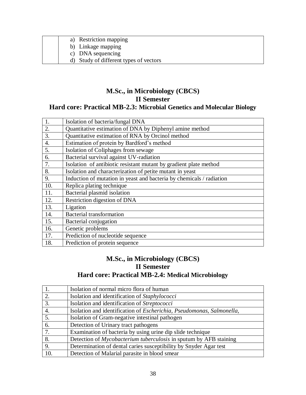| a) Restriction mapping                 |
|----------------------------------------|
| b) Linkage mapping                     |
| c) DNA sequencing                      |
| d) Study of different types of vectors |

# **M.Sc., in Microbiology (CBCS) II Semester**

# **Hard core: Practical MB-2.3: Microbial Genetics and Molecular Biology**

| 1.               | Isolation of bacteria/fungal DNA                                     |
|------------------|----------------------------------------------------------------------|
| 2.               | Quantitative estimation of DNA by Diphenyl amine method              |
| 3.               | Quantitative estimation of RNA by Orcinol method                     |
| $\overline{4}$ . | Estimation of protein by Bardford's method                           |
| 5.               | Isolation of Coliphages from sewage                                  |
| 6.               | Bacterial survival against UV-radiation                              |
| 7.               | Isolation of antibiotic resistant mutant by gradient plate method    |
| 8.               | Isolation and characterization of petite mutant in yeast             |
| 9.               | Induction of mutation in yeast and bacteria by chemicals / radiation |
| 10.              | Replica plating technique                                            |
| 11.              | Bacterial plasmid isolation                                          |
| 12.              | Restriction digestion of DNA                                         |
| 13.              | Ligation                                                             |
| 14.              | <b>Bacterial transformation</b>                                      |
| 15.              | Bacterial conjugation                                                |
| 16.              | Genetic problems                                                     |
| 17.              | Prediction of nucleotide sequence                                    |
| 18.              | Prediction of protein sequence                                       |

# **M.Sc., in Microbiology (CBCS) II Semester Hard core: Practical MB-2.4: Medical Microbiology**

|              | Isolation of normal micro flora of human                                 |
|--------------|--------------------------------------------------------------------------|
| $\mathbf{2}$ | Isolation and identification of Staphylococci                            |
| 3.           | Isolation and identification of Streptococci                             |
| 4.           | Isolation and identification of Escherichia, Pseudomonas, Salmonella,    |
| 5.           | Isolation of Gram-negative intestinal pathogen                           |
| 6.           | Detection of Urinary tract pathogens                                     |
| 7.           | Examination of bacteria by using urine dip slide technique               |
| 8.           | Detection of <i>Mycobacterium tuberculosis</i> in sputum by AFB staining |
| 9.           | Determination of dental caries susceptibility by Snyder Agar test        |
| 10.          | Detection of Malarial parasite in blood smear                            |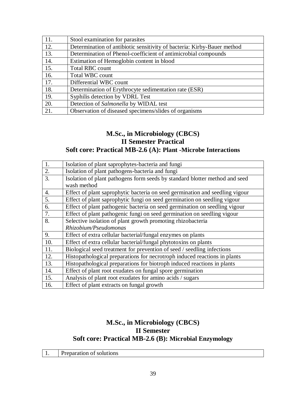| 11. | Stool examination for parasites                                         |
|-----|-------------------------------------------------------------------------|
| 12. | Determination of antibiotic sensitivity of bacteria: Kirby-Bauer method |
| 13. | Determination of Phenol-coefficient of antimicrobial compounds          |
| 14. | Estimation of Hemoglobin content in blood                               |
| 15. | Total RBC count                                                         |
| 16. | Total WBC count                                                         |
| 17. | Differential WBC count                                                  |
| 18. | Determination of Erythrocyte sedimentation rate (ESR)                   |
| 19. | Syphilis detection by VDRL Test                                         |
| 20. | Detection of Salmonella by WIDAL test                                   |
| 21. | Observation of diseased specimens/slides of organisms                   |

# **M.Sc., in Microbiology (CBCS) II Semester Practical Soft core: Practical MB-2.6 (A): Plant -Microbe Interactions**

| 1.               | Isolation of plant saprophytes-bacteria and fungi                            |
|------------------|------------------------------------------------------------------------------|
| 2.               | Isolation of plant pathogens-bacteria and fungi                              |
| $\overline{3}$ . | Isolation of plant pathogens form seeds by standard blotter method and seed  |
|                  | wash method                                                                  |
| $\overline{4}$ . | Effect of plant saprophytic bacteria on seed germination and seedling vigour |
| 5.               | Effect of plant saprophytic fungi on seed germination on seedling vigour     |
| 6.               | Effect of plant pathogenic bacteria on seed germination on seedling vigour   |
| 7.               | Effect of plant pathogenic fungi on seed germination on seedling vigour      |
| 8.               | Selective isolation of plant growth promoting rhizobacteria                  |
|                  | Rhizobium/Pseudomonas                                                        |
| 9.               | Effect of extra cellular bacterial/fungal enzymes on plants                  |
| 10.              | Effect of extra cellular bacterial/fungal phytotoxins on plants              |
| 11.              | Biological seed treatment for prevention of seed / seedling infections       |
| 12.              | Histopathological preparations for necrotroph induced reactions in plants    |
| 13.              | Histopathological preparations for biotroph induced reactions in plants      |
| 14.              | Effect of plant root exudates on fungal spore germination                    |
| 15.              | Analysis of plant root exudates for amino acids / sugars                     |
| 16.              | Effect of plant extracts on fungal growth                                    |

# **M.Sc., in Microbiology (CBCS) II Semester Soft core: Practical MB-2.6 (B): Microbial Enzymology**

| . . | <br>- 10. LEN<br>`` |
|-----|---------------------|
|-----|---------------------|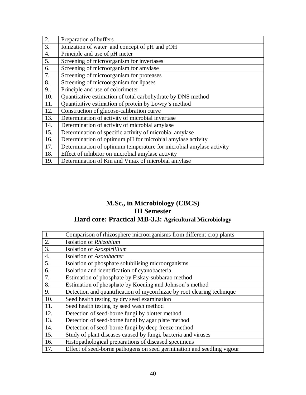| 2.               | Preparation of buffers                                              |
|------------------|---------------------------------------------------------------------|
| 3.               | Ionization of water and concept of pH and pOH                       |
| $\overline{4}$ . | Principle and use of pH meter                                       |
| 5.               | Screening of microorganism for invertases                           |
| 6.               | Screening of microorganism for amylase                              |
| 7.               | Screening of microorganism for proteases                            |
| 8.               | Screening of microorganism for lipases                              |
| 9                | Principle and use of colorimeter                                    |
| 10.              | Quantitative estimation of total carbohydrate by DNS method         |
| 11.              | Quantitative estimation of protein by Lowry's method                |
| 12.              | Construction of glucose-calibration curve                           |
| 13.              | Determination of activity of microbial invertase                    |
| 14.              | Determination of activity of microbial amylase                      |
| 15.              | Determination of specific activity of microbial amylase             |
| 16.              | Determination of optimum pH for microbial amylase activity          |
| 17.              | Determination of optimum temperature for microbial amylase activity |
| 18.              | Effect of inhibitor on microbial amylase activity                   |
| 19.              | Determination of Km and Vmax of microbial amylase                   |

# **M.Sc., in Microbiology (CBCS) III Semester Hard core: Practical MB-3.3: Agricultural Microbiology**

|                  | Comparison of rhizosphere microorganisms from different crop plants    |
|------------------|------------------------------------------------------------------------|
| 2.               | Isolation of Rhizobium                                                 |
| 3.               | Isolation of Azospirillium                                             |
| $\overline{4}$ . | Isolation of Azotobacter                                               |
| 5.               | Isolation of phosphate solubilising microorganisms                     |
| 6.               | Isolation and identification of cyanobacteria                          |
| 7.               | Estimation of phosphate by Fiskay-subbarao method                      |
| 8.               | Estimation of phosphate by Koening and Johnson's method                |
| 9.               | Detection and quantification of mycorrhizae by root clearing technique |
| 10.              | Seed health testing by dry seed examination                            |
| 11.              | Seed health testing by seed wash method                                |
| 12.              | Detection of seed-borne fungi by blotter method                        |
| 13.              | Detection of seed-borne fungi by agar plate method                     |
| 14.              | Detection of seed-borne fungi by deep freeze method                    |
| 15.              | Study of plant diseases caused by fungi, bacteria and viruses          |
| 16.              | Histopathological preparations of diseased specimens                   |
| 17.              | Effect of seed-borne pathogens on seed germination and seedling vigour |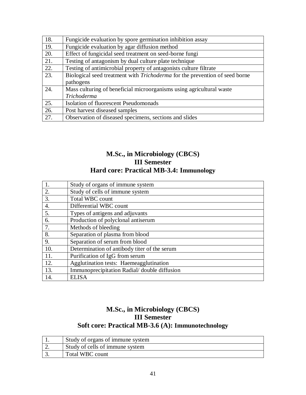| 18. | Fungicide evaluation by spore germination inhibition assay                         |
|-----|------------------------------------------------------------------------------------|
| 19. | Fungicide evaluation by agar diffusion method                                      |
| 20. | Effect of fungicidal seed treatment on seed-borne fungi                            |
| 21. | Testing of antagonism by dual culture plate technique                              |
| 22. | Testing of antimicrobial property of antagonists culture filtrate                  |
| 23. | Biological seed treatment with <i>Trichoderma</i> for the prevention of seed borne |
|     | pathogens                                                                          |
| 24. | Mass culturing of beneficial microorganisms using agricultural waste               |
|     | <b>Trichoderma</b>                                                                 |
| 25. | Isolation of fluorescent Pseudomonads                                              |
| 26. | Post harvest diseased samples                                                      |
| 27. | Observation of diseased specimens, sections and slides                             |

# **M.Sc., in Microbiology (CBCS) III Semester Hard core: Practical MB-3.4: Immunology**

|     | Study of organs of immune system             |
|-----|----------------------------------------------|
| 2.  | Study of cells of immune system              |
| 3.  | <b>Total WBC count</b>                       |
| 4.  | Differential WBC count                       |
| 5.  | Types of antigens and adjuvants              |
| 6.  | Production of polyclonal antiserum           |
| 7.  | Methods of bleeding                          |
| 8.  | Separation of plasma from blood              |
| 9.  | Separation of serum from blood               |
| 10. | Determination of antibody titer of the serum |
| 11. | Purification of IgG from serum               |
| 12. | Agglutination tests: Haemeagglutination      |
| 13. | Immunoprecipitation Radial/ double diffusion |
| 14. | <b>ELISA</b>                                 |

# **M.Sc., in Microbiology (CBCS) III Semester Soft core: Practical MB-3.6 (A): Immunotechnology**

|     | Study of organs of immune system |
|-----|----------------------------------|
| ، ت | Study of cells of immune system  |
|     | Total WBC count                  |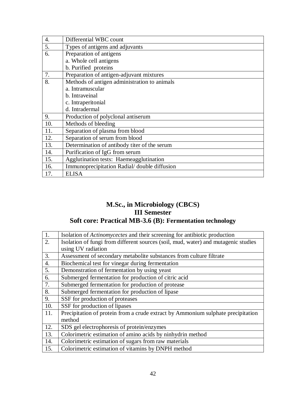| 4.  | Differential WBC count                       |
|-----|----------------------------------------------|
| 5.  | Types of antigens and adjuvants              |
| 6.  | Preparation of antigens                      |
|     | a. Whole cell antigens                       |
|     | b. Purified proteins                         |
| 7.  | Preparation of antigen-adjuvant mixtures     |
| 8.  | Methods of antigen administration to animals |
|     | a. Intramuscular                             |
|     | b. Intraveinal                               |
|     | c. Intraperitonial                           |
|     | d. Intradermal                               |
| 9.  | Production of polyclonal antiserum           |
| 10. | Methods of bleeding                          |
| 11. | Separation of plasma from blood              |
| 12. | Separation of serum from blood               |
| 13. | Determination of antibody titer of the serum |
| 14. | Purification of IgG from serum               |
| 15. | Agglutination tests: Haemeagglutination      |
| 16. | Immunoprecipitation Radial/ double diffusion |
| 17. | <b>ELISA</b>                                 |

# **M.Sc., in Microbiology (CBCS) III Semester Soft core: Practical MB-3.6 (B): Fermentation technology**

| $\overline{1}$ . | Isolation of <i>Actinomycectes</i> and their screening for antibiotic production   |
|------------------|------------------------------------------------------------------------------------|
| 2.               | Isolation of fungi from different sources (soil, mud, water) and mutagenic studies |
|                  | using UV radiation                                                                 |
| 3.               | Assessment of secondary metabolite substances from culture filtrate                |
| $\overline{4}$ . | Biochemical test for vinegar during fermentation                                   |
| 5.               | Demonstration of fermentation by using yeast                                       |
| 6.               | Submerged fermentation for production of citric acid                               |
| 7.               | Submerged fermentation for production of protease                                  |
| 8.               | Submerged fermentation for production of lipase                                    |
| 9.               | SSF for production of proteases                                                    |
| 10.              | SSF for production of lipases                                                      |
| 11.              | Precipitation of protein from a crude extract by Ammonium sulphate precipitation   |
|                  | method                                                                             |
| 12.              | SDS gel electrophoresis of protein/enzymes                                         |
| 13.              | Colorimetric estimation of amino acids by ninhydrin method                         |
| 14.              | Colorimetric estimation of sugars from raw materials                               |
| 15.              | Colorimetric estimation of vitamins by DNPH method                                 |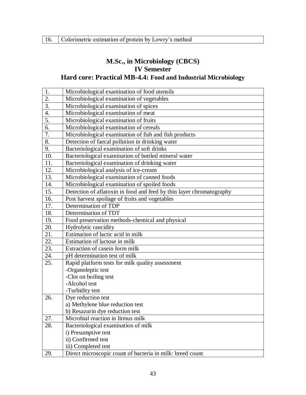# **M.Sc., in Microbiology (CBCS) IV Semester Hard core: Practical MB-4.4: Food and Industrial Microbiology**

| 1.               | Microbiological examination of food utensils                         |
|------------------|----------------------------------------------------------------------|
| $\overline{2}$ . | Microbiological examination of vegetables                            |
| 3.               | Microbiological examination of spices                                |
| $\overline{4}$ . | Microbiological examination of meat                                  |
| 5.               | Microbiological examination of fruits                                |
| 6.               | Microbiological examination of cereals                               |
| 7.               | Microbiological examination of fish and fish products                |
| 8.               | Detection of faecal pollution in drinking water                      |
| 9.               | Bacteriological examination of soft drinks                           |
| 10.              | Bacteriological examination of bottled mineral water                 |
| 11.              | Bacteriological examination of drinking water                        |
| 12.              | Microbiological analysis of ice-cream                                |
| 13.              | Microbiological examination of canned foods                          |
| 14.              | Microbiological examination of spoiled foods                         |
| 15.              | Detection of aflatoxin in food and feed by thin layer chromatography |
| 16.              | Post harvest spoilage of fruits and vegetables                       |
| 17.              | Determination of TDP                                                 |
| 18.              | Determination of TDT                                                 |
| 19.              | Food preservation methods-chemical and physical                      |
| 20.              | Hydrolytic rancidity                                                 |
| 21.              | Estimation of lactic acid in milk                                    |
| 22.              | Estimation of lactose in milk                                        |
| 23.              | Extraction of casein form milk                                       |
| 24.              | pH determination test of milk                                        |
| 25.              | Rapid platform tests for milk quality assessment                     |
|                  | -Organoleptic test                                                   |
|                  | -Clot on boiling test                                                |
|                  | -Alcohol test                                                        |
|                  | -Turbidity test                                                      |
| 26.              | Dye reduction test                                                   |
|                  | a) Methylene blue reduction test                                     |
|                  | b) Resazurin dye reduction test                                      |
| 27.              | Microbial reaction in litmus milk                                    |
| 28.              | Bacteriological examination of milk                                  |
|                  | i) Presumptive test                                                  |
|                  | ii) Confirmed test                                                   |
|                  | iii) Completed test                                                  |
| 29.              | Direct microscopic count of bacteria in milk: breed count            |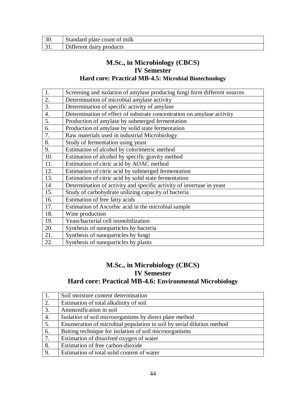| Standard plate count of milk |
|------------------------------|
| Different dairy products     |

# **M.Sc., in Microbiology (CBCS) IV Semester Hard core: Practical MB-4.5: Microbial Biotechnology**

| 1.  | Screening and isolation of amylase producing fungi form different sources |
|-----|---------------------------------------------------------------------------|
| 2.  | Determination of microbial amylase activity                               |
| 3.  | Determination of specific activity of amylase                             |
| 4.  | Determination of effect of substrate concentration on amylase activity    |
| 5.  | Production of amylase by submerged fermentation                           |
| 6.  | Production of amylase by solid state fermentation                         |
| 7.  | Raw materials used in industrial Microbiology                             |
| 8.  | Study of fermentation using yeast                                         |
| 9.  | Estimation of alcohol by colorimetric method                              |
| 10. | Estimation of alcohol by specific gravity method                          |
| 11. | Estimation of citric acid by AOAC method                                  |
| 12. | Estimation of citric acid by submerged fermentation                       |
| 13. | Estimation of citric acid by solid state fermentation                     |
| 14  | Determination of activity and specific activity of invertase in yeast     |
| 15. | Study of carbohydrate utilizing capacity of bacteria                      |
| 16. | Estimation of free fatty acids                                            |
| 17. | Estimation of Ascorbic acid in the microbial sample                       |
| 18. | Wine production                                                           |
| 19. | Yeast/bacterial cell immobilization                                       |
| 20. | Synthesis of nanoparticles by bacteria                                    |
| 21. | Synthesis of nanoparticles by fungi                                       |
| 22. | Synthesis of nanoparticles by plants                                      |

# **M.Sc., in Microbiology (CBCS) IV Semester Hard core: Practical MB-4.6: Environmental Microbiology**

| $\vert 1.$       | Soil moisture content determination                                   |
|------------------|-----------------------------------------------------------------------|
| $\overline{2}$ . | Estimation of total alkalinity of soil                                |
| 3.               | Ammonification in soil                                                |
| 4.               | Isolation of soil microorganisms by direct plate method               |
| 5.               | Enumeration of microbial population in soil by serial dilution method |
| 6.               | Baiting technique for isolation of soil microorganisms                |
| 7.               | Estimation of dissolved oxygen of water                               |
| $\overline{8}$ . | Estimation of free carbon-dioxide                                     |
| $\overline{9}$ . | Estimation of total solid content of water                            |